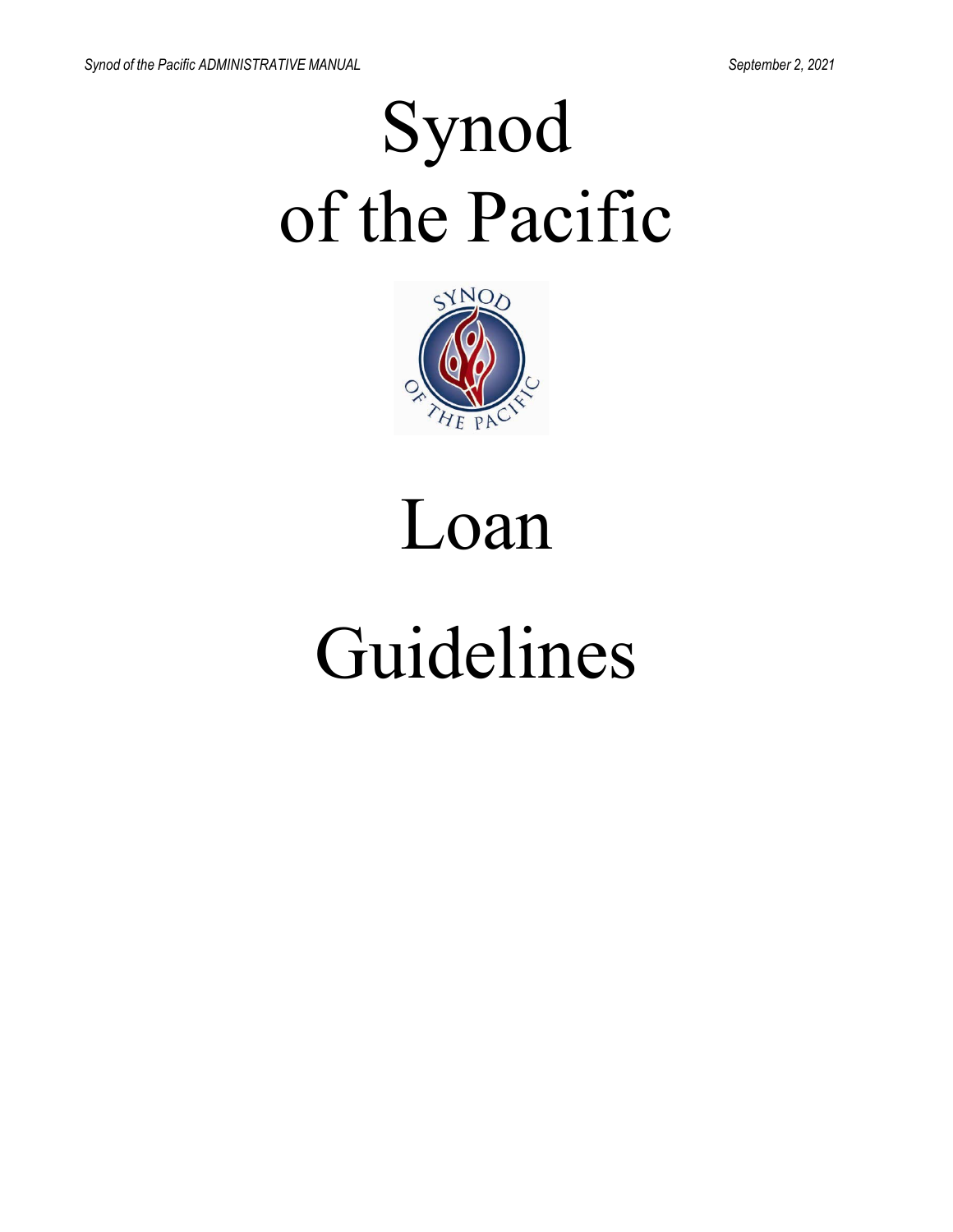# Synod of the Pacific



# Loan

## Guidelines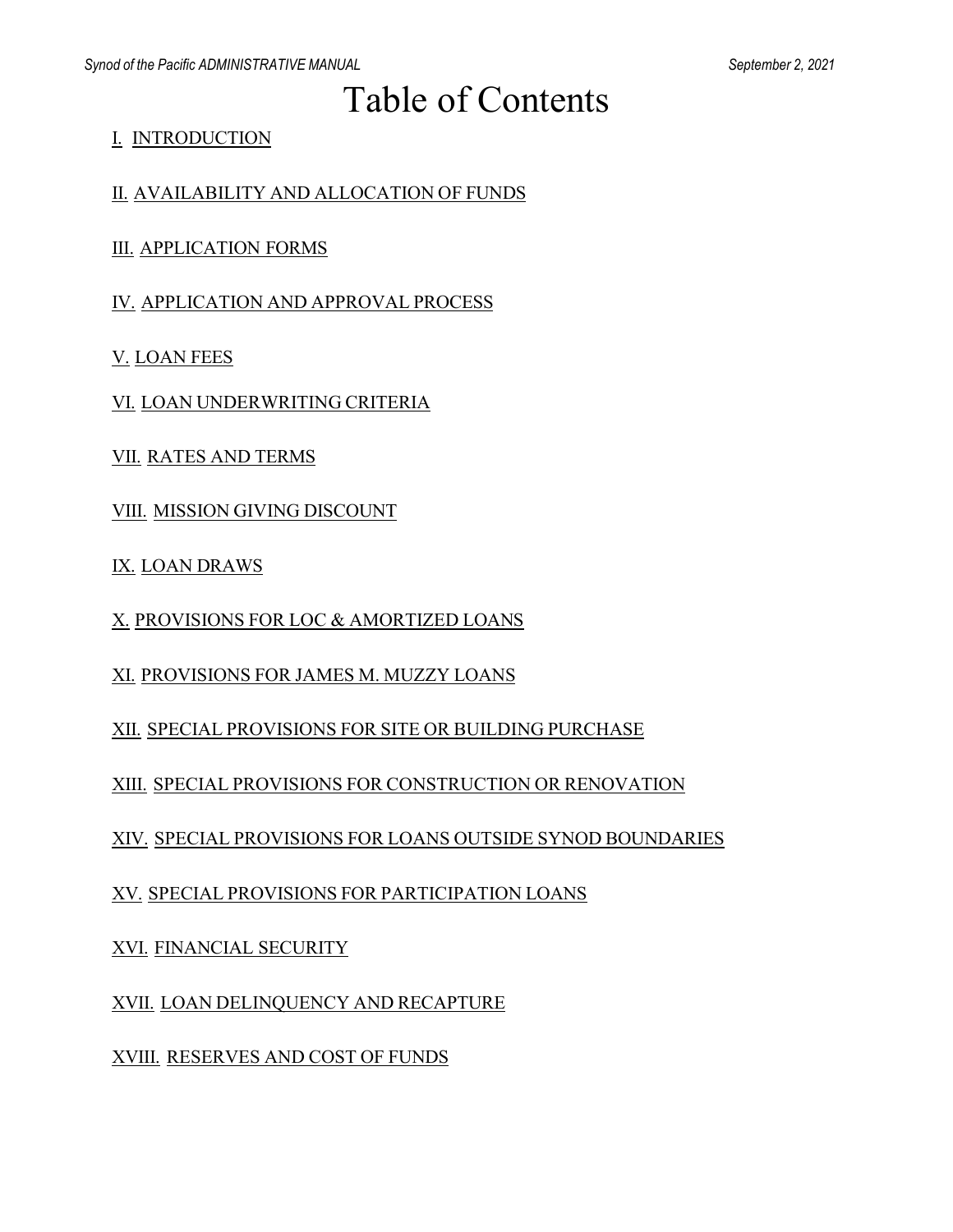### Table of Contents

I. INTRODUCTION

II. AVAILABILITY AND ALLOCATION OF FUNDS

III. APPLICATION FORMS

IV. APPLICATION AND APPROVAL PROCESS

V. LOAN FEES

VI. LOAN UNDERWRITING CRITERIA

VII. RATES AND TERMS

VIII. MISSION GIVING DISCOUNT

IX. LOAN DRAWS

X. PROVISIONS FOR LOC & AMORTIZED LOANS

XI. PROVISIONS FOR JAMES M. MUZZY LOANS

XII. SPECIAL PROVISIONS FOR SITE OR BUILDING PURCHASE

XIII. SPECIAL PROVISIONS FOR CONSTRUCTION OR RENOVATION

XIV. SPECIAL PROVISIONS FOR LOANS OUTSIDE SYNOD BOUNDARIES

XV. SPECIAL PROVISIONS FOR PARTICIPATION LOANS

XVI. FINANCIAL SECURITY

XVII. LOAN DELINQUENCY AND RECAPTURE

XVIII. RESERVES AND COST OF FUNDS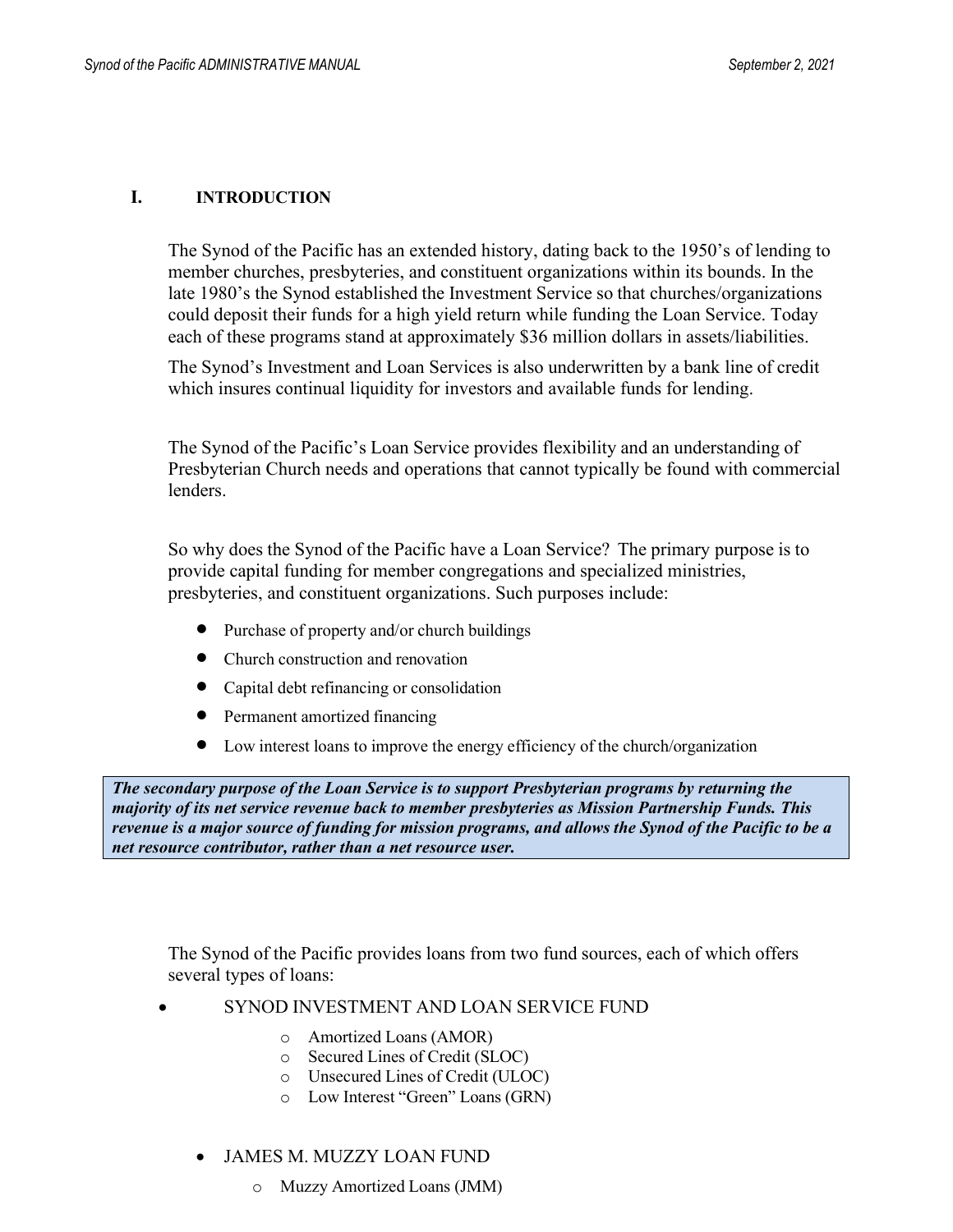#### **I. INTRODUCTION**

The Synod of the Pacific has an extended history, dating back to the 1950's of lending to member churches, presbyteries, and constituent organizations within its bounds. In the late 1980's the Synod established the Investment Service so that churches/organizations could deposit their funds for a high yield return while funding the Loan Service. Today each of these programs stand at approximately \$36 million dollars in assets/liabilities.

The Synod's Investment and Loan Services is also underwritten by a bank line of credit which insures continual liquidity for investors and available funds for lending.

The Synod of the Pacific's Loan Service provides flexibility and an understanding of Presbyterian Church needs and operations that cannot typically be found with commercial lenders.

So why does the Synod of the Pacific have a Loan Service? The primary purpose is to provide capital funding for member congregations and specialized ministries, presbyteries, and constituent organizations. Such purposes include:

- Purchase of property and/or church buildings
- Church construction and renovation
- Capital debt refinancing or consolidation
- Permanent amortized financing
- Low interest loans to improve the energy efficiency of the church/organization

*The secondary purpose of the Loan Service is to support Presbyterian programs by returning the majority of its net service revenue back to member presbyteries as Mission Partnership Funds. This*  revenue is a major source of funding for mission programs, and allows the Synod of the Pacific to be a *net resource contributor, rather than a net resource user.*

The Synod of the Pacific provides loans from two fund sources, each of which offers several types of loans:

- SYNOD INVESTMENT AND LOAN SERVICE FUND
	- o Amortized Loans (AMOR)
	- o Secured Lines of Credit (SLOC)
	- o Unsecured Lines of Credit (ULOC)
	- o Low Interest "Green" Loans (GRN)

#### • JAMES M. MUZZY LOAN FUND

o Muzzy Amortized Loans (JMM)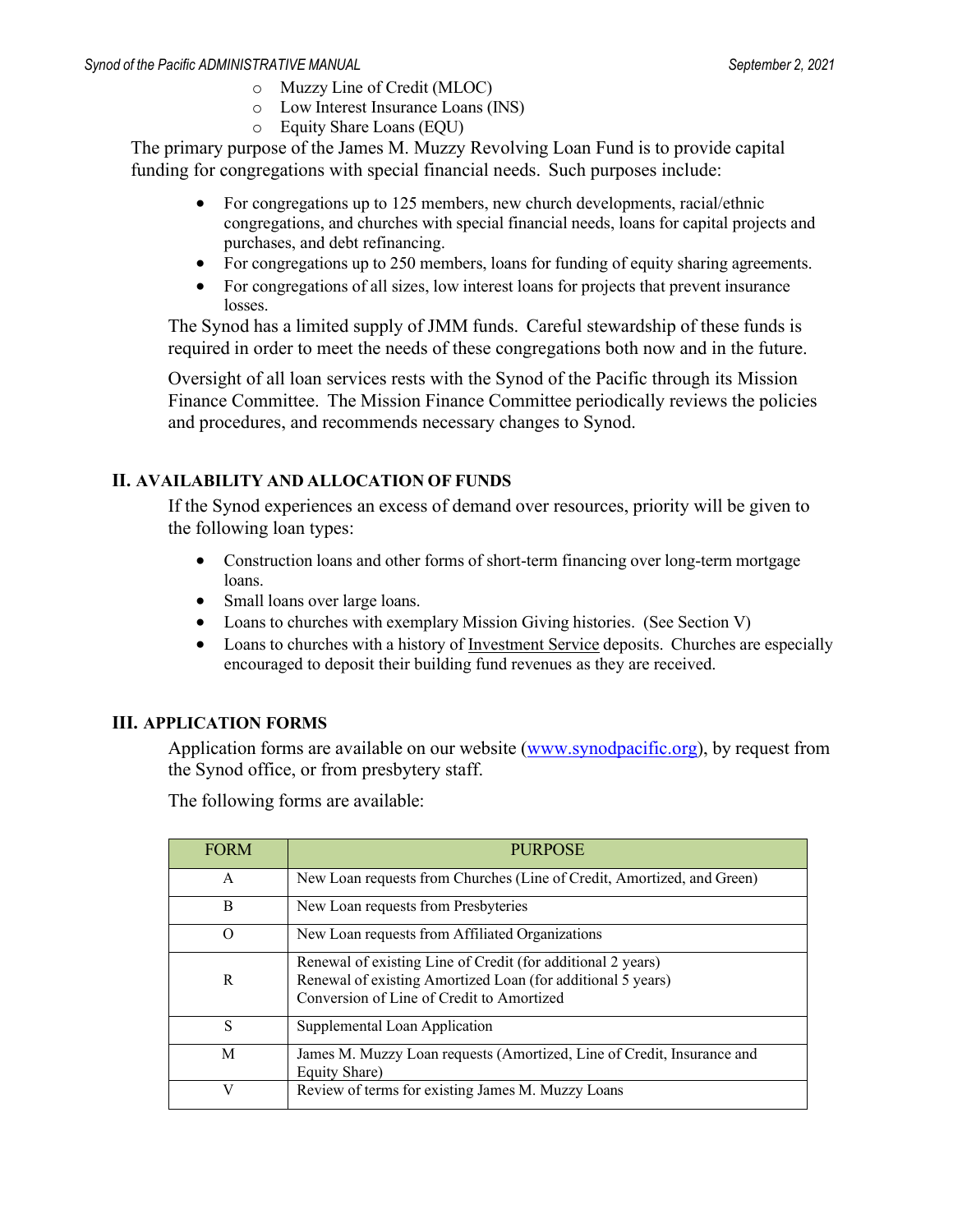- o Muzzy Line of Credit (MLOC)
- o Low Interest Insurance Loans (INS)
- o Equity Share Loans (EQU)

The primary purpose of the James M. Muzzy Revolving Loan Fund is to provide capital funding for congregations with special financial needs. Such purposes include:

- For congregations up to 125 members, new church developments, racial/ethnic congregations, and churches with special financial needs, loans for capital projects and purchases, and debt refinancing.
- For congregations up to 250 members, loans for funding of equity sharing agreements.
- For congregations of all sizes, low interest loans for projects that prevent insurance losses.

The Synod has a limited supply of JMM funds. Careful stewardship of these funds is required in order to meet the needs of these congregations both now and in the future.

Oversight of all loan services rests with the Synod of the Pacific through its Mission Finance Committee. The Mission Finance Committee periodically reviews the policies and procedures, and recommends necessary changes to Synod.

#### **II. AVAILABILITY AND ALLOCATION OF FUNDS**

If the Synod experiences an excess of demand over resources, priority will be given to the following loan types:

- Construction loans and other forms of short-term financing over long-term mortgage loans.
- Small loans over large loans.
- Loans to churches with exemplary Mission Giving histories. (See Section V)
- Loans to churches with a history of Investment Service deposits. Churches are especially encouraged to deposit their building fund revenues as they are received.

#### **III. APPLICATION FORMS**

Application forms are available on our website (www.synodpacific.org), by request from the Synod office, or from presbytery staff.

The following forms are available:

| <b>FORM</b> | <b>PURPOSE</b>                                                                                                                                                          |
|-------------|-------------------------------------------------------------------------------------------------------------------------------------------------------------------------|
| A           | New Loan requests from Churches (Line of Credit, Amortized, and Green)                                                                                                  |
| B           | New Loan requests from Presbyteries                                                                                                                                     |
| O           | New Loan requests from Affiliated Organizations                                                                                                                         |
| R           | Renewal of existing Line of Credit (for additional 2 years)<br>Renewal of existing Amortized Loan (for additional 5 years)<br>Conversion of Line of Credit to Amortized |
| S           | Supplemental Loan Application                                                                                                                                           |
| M           | James M. Muzzy Loan requests (Amortized, Line of Credit, Insurance and<br>Equity Share)                                                                                 |
| V           | Review of terms for existing James M. Muzzy Loans                                                                                                                       |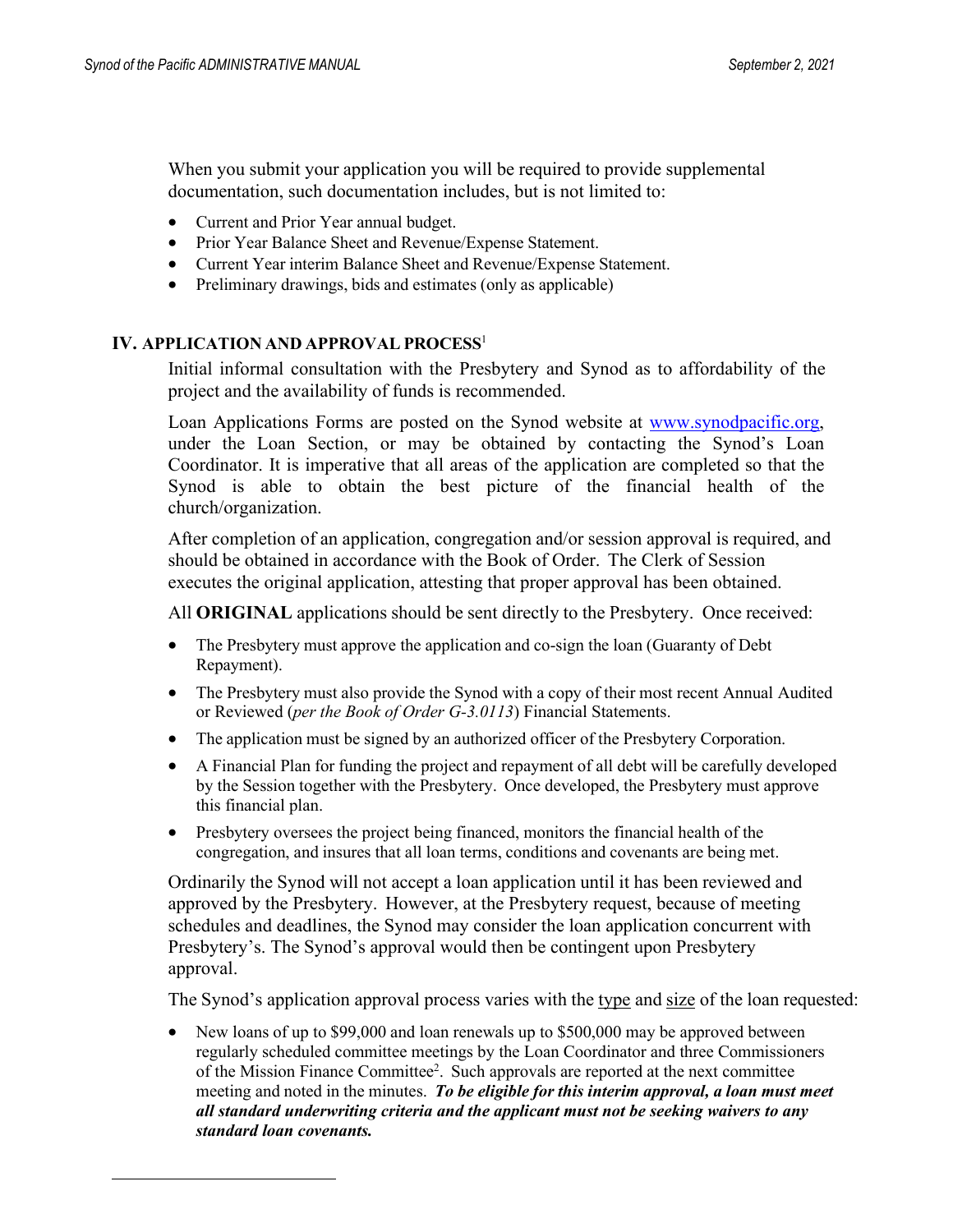When you submit your application you will be required to provide supplemental documentation, such documentation includes, but is not limited to:

- Current and Prior Year annual budget.
- Prior Year Balance Sheet and Revenue/Expense Statement.
- Current Year interim Balance Sheet and Revenue/Expense Statement.
- Preliminary drawings, bids and estimates (only as applicable)

#### **IV. APPLICATION AND APPROVAL PROCES[S](#page-5-0)**<sup>1</sup>

Initial informal consultation with the Presbytery and Synod as to affordability of the project and the availability of funds is recommended.

Loan Applications Forms are posted on the Synod website at www.synodpacific.org, under the Loan Section, or may be obtained by contacting the Synod's Loan Coordinator. It is imperative that all areas of the application are completed so that the Synod is able to obtain the best picture of the financial health of the church/organization.

After completion of an application, congregation and/or session approval is required, and should be obtained in accordance with the Book of Order. The Clerk of Session executes the original application, attesting that proper approval has been obtained.

All **ORIGINAL** applications should be sent directly to the Presbytery. Once received:

- The Presbytery must approve the application and co-sign the loan (Guaranty of Debt) Repayment).
- The Presbytery must also provide the Synod with a copy of their most recent Annual Audited or Reviewed (*per the Book of Order G-3.0113*) Financial Statements.
- The application must be signed by an authorized officer of the Presbytery Corporation.
- A Financial Plan for funding the project and repayment of all debt will be carefully developed by the Session together with the Presbytery. Once developed, the Presbytery must approve this financial plan.
- Presbytery oversees the project being financed, monitors the financial health of the congregation, and insures that all loan terms, conditions and covenants are being met.

Ordinarily the Synod will not accept a loan application until it has been reviewed and approved by the Presbytery. However, at the Presbytery request, because of meeting schedules and deadlines, the Synod may consider the loan application concurrent with Presbytery's. The Synod's approval would then be contingent upon Presbytery approval.

The Synod's application approval process varies with the type and size of the loan requested:

• New loans of up to \$99,000 and loan renewals up to \$500,000 may be approved between regularly scheduled committee meetings by the Loan Coordinator and three Commissioners of the Mission Finance Committee<sup>2</sup>. Such approvals are reported at the next committee meeting and noted in the minutes. *To be eligible for this interim approval, a loan must meet all standard underwriting criteria and the applicant must not be seeking waivers to any standard loan covenants.*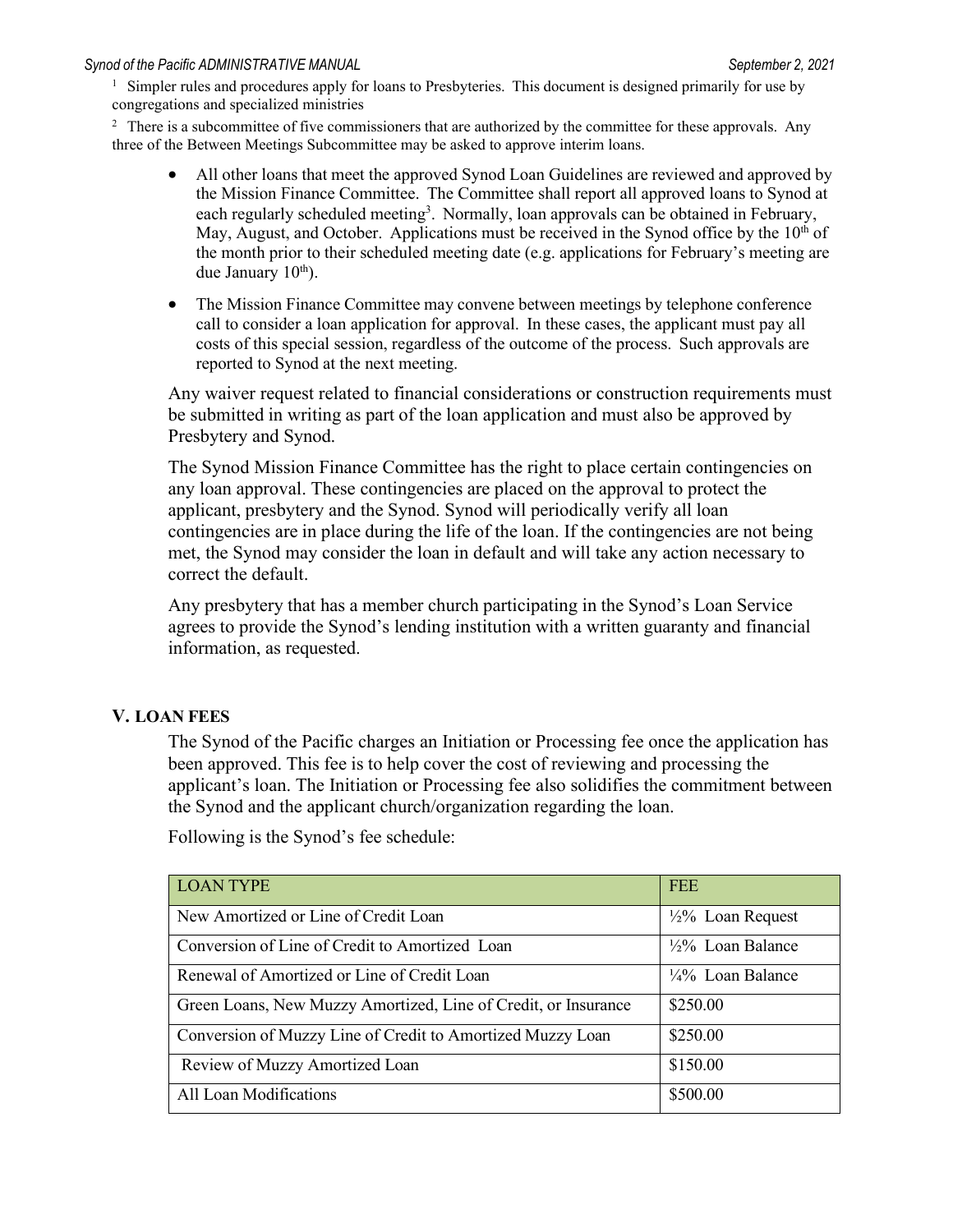<span id="page-5-0"></span> $1$  Simpler rules and procedures apply for loans to Presbyteries. This document is designed primarily for use by congregations and specialized ministries

<span id="page-5-1"></span> $2\degree$  There is a subcommittee of five commissioners that are authorized by the committee for these approvals. Any three of the Between Meetings Subcommittee may be asked to approve interim loans.

- All other loans that meet the approved Synod Loan Guidelines are reviewed and approved by the Mission Finance Committee. The Committee shall report all approved loans to Synod at each regularly scheduled meeting<sup>3</sup>. Normally, loan approvals can be obtained in February, May, August, and October. Applications must be received in the Synod office by the  $10<sup>th</sup>$  of the month prior to their scheduled meeting date (e.g. applications for February's meeting are due January 10<sup>th</sup>).
- The Mission Finance Committee may convene between meetings by telephone conference call to consider a loan application for approval. In these cases, the applicant must pay all costs of this special session, regardless of the outcome of the process. Such approvals are reported to Synod at the next meeting.

Any waiver request related to financial considerations or construction requirements must be submitted in writing as part of the loan application and must also be approved by Presbytery and Synod.

The Synod Mission Finance Committee has the right to place certain contingencies on any loan approval. These contingencies are placed on the approval to protect the applicant, presbytery and the Synod. Synod will periodically verify all loan contingencies are in place during the life of the loan. If the contingencies are not being met, the Synod may consider the loan in default and will take any action necessary to correct the default.

Any presbytery that has a member church participating in the Synod's Loan Service agrees to provide the Synod's lending institution with a written guaranty and financial information, as requested.

#### **V. LOAN FEES**

The Synod of the Pacific charges an Initiation or Processing fee once the application has been approved. This fee is to help cover the cost of reviewing and processing the applicant's loan. The Initiation or Processing fee also solidifies the commitment between the Synod and the applicant church/organization regarding the loan.

| <b>LOAN TYPE</b>                                               | <b>FEE</b>                   |
|----------------------------------------------------------------|------------------------------|
| New Amortized or Line of Credit Loan                           | $\frac{1}{2}\%$ Loan Request |
| Conversion of Line of Credit to Amortized Loan                 | $\frac{1}{2}\%$ Loan Balance |
| Renewal of Amortized or Line of Credit Loan                    | $\frac{1}{4}\%$ Loan Balance |
| Green Loans, New Muzzy Amortized, Line of Credit, or Insurance | \$250.00                     |
| Conversion of Muzzy Line of Credit to Amortized Muzzy Loan     | \$250.00                     |
| Review of Muzzy Amortized Loan                                 | \$150.00                     |
| All Loan Modifications                                         | \$500.00                     |

Following is the Synod's fee schedule: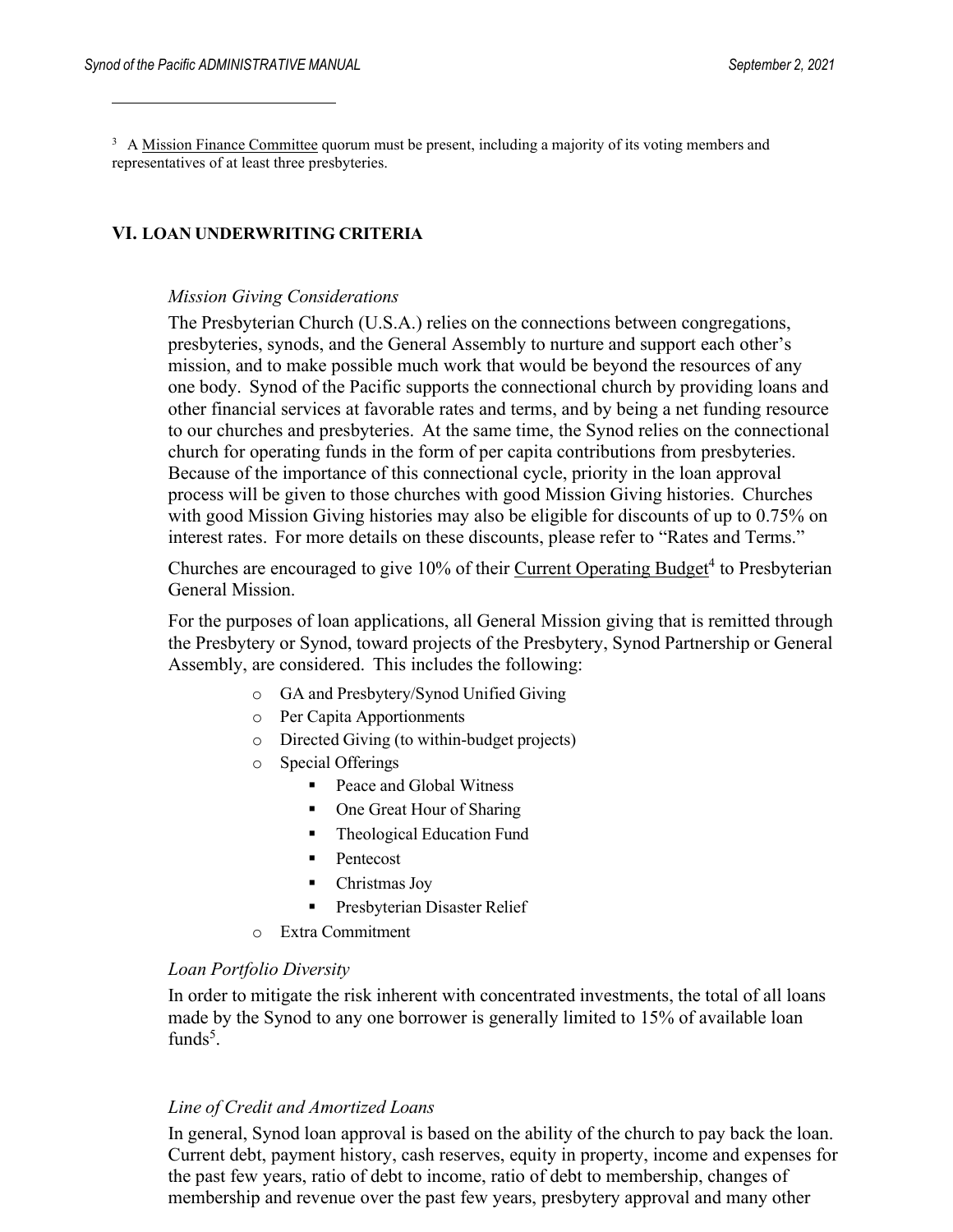<span id="page-6-0"></span><sup>3</sup> A Mission Finance Committee quorum must be present, including a majority of its voting members and representatives of at least three presbyteries.

#### **VI. LOAN UNDERWRITING CRITERIA**

#### *Mission Giving Considerations*

The Presbyterian Church (U.S.A.) relies on the connections between congregations, presbyteries, synods, and the General Assembly to nurture and support each other's mission, and to make possible much work that would be beyond the resources of any one body. Synod of the Pacific supports the connectional church by providing loans and other financial services at favorable rates and terms, and by being a net funding resource to our churches and presbyteries. At the same time, the Synod relies on the connectional church for operating funds in the form of per capita contributions from presbyteries. Because of the importance of this connectional cycle, priority in the loan approval process will be given to those churches with good Mission Giving histories. Churches with good Mission Giving histories may also be eligible for discounts of up to 0.75% on interest rates. For more details on these discounts, please refer to "Rates and Terms."

Churches are encouraged to give 10% of their Current Operating Budget<sup>[4](#page-7-0)</sup> to Presbyterian General Mission.

For the purposes of loan applications, all General Mission giving that is remitted through the Presbytery or Synod, toward projects of the Presbytery, Synod Partnership or General Assembly, are considered. This includes the following:

- o GA and Presbytery/Synod Unified Giving
- o Per Capita Apportionments
- o Directed Giving (to within-budget projects)
- o Special Offerings
	- Peace and Global Witness
	- One Great Hour of Sharing
	- Theological Education Fund
	- **Pentecost**
	- Christmas Joy
	- Presbyterian Disaster Relief
- o Extra Commitment

#### *Loan Portfolio Diversity*

In order to mitigate the risk inherent with concentrated investments, the total of all loans made by the Synod to any one borrower is generally limited to 15% of available loan funds $5$ .

#### *Line of Credit and Amortized Loans*

In general, Synod loan approval is based on the ability of the church to pay back the loan. Current debt, payment history, cash reserves, equity in property, income and expenses for the past few years, ratio of debt to income, ratio of debt to membership, changes of membership and revenue over the past few years, presbytery approval and many other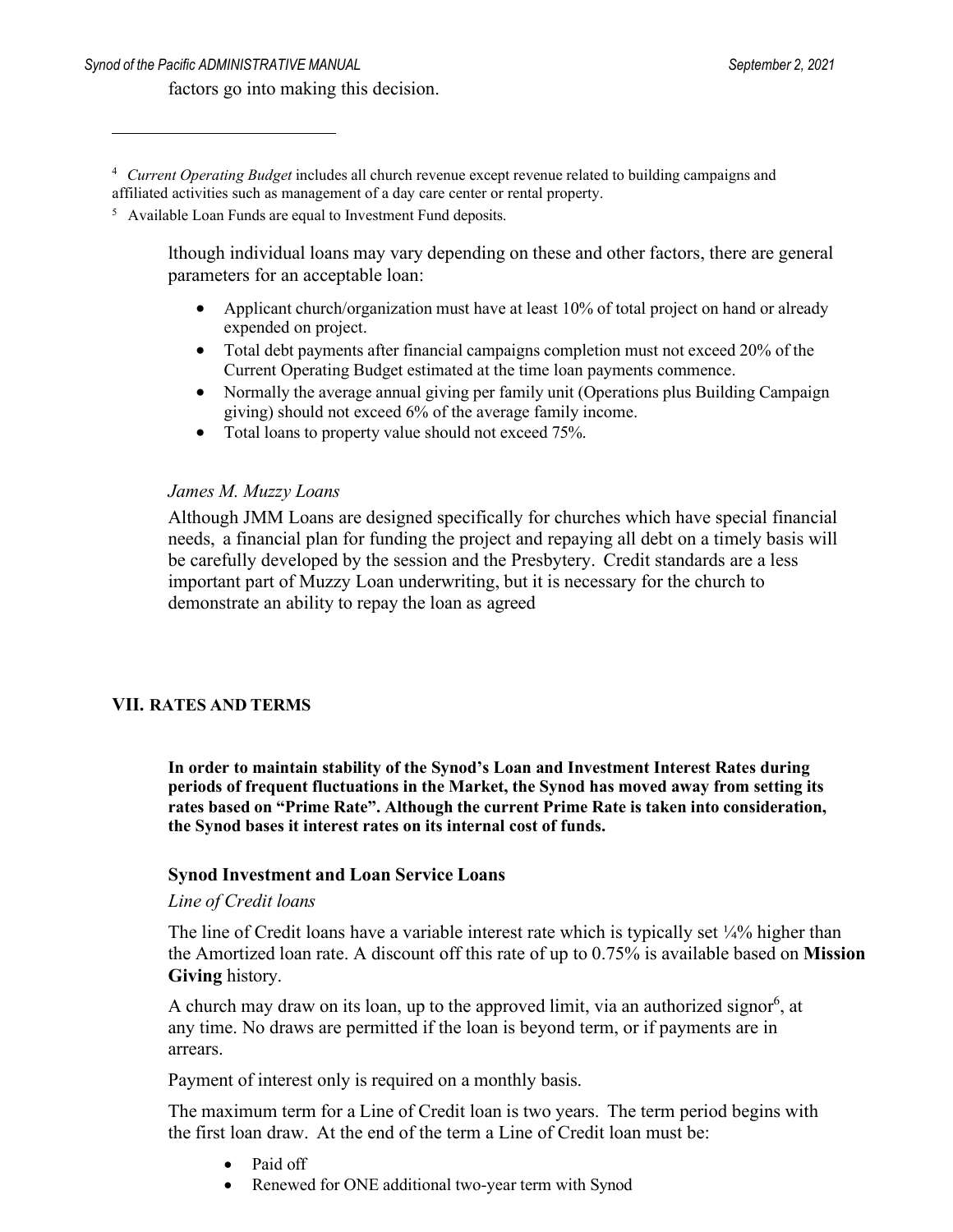#### factors go into making this decision.

<span id="page-7-0"></span><sup>4</sup> *Current Operating Budget* includes all church revenue except revenue related to building campaigns and affiliated activities such as management of a day care center or rental property.

<span id="page-7-1"></span><sup>5</sup> Available Loan Funds are equal to Investment Fund deposits.

lthough individual loans may vary depending on these and other factors, there are general parameters for an acceptable loan:

- Applicant church/organization must have at least 10% of total project on hand or already expended on project.
- Total debt payments after financial campaigns completion must not exceed 20% of the Current Operating Budget estimated at the time loan payments commence.
- Normally the average annual giving per family unit (Operations plus Building Campaign giving) should not exceed 6% of the average family income.
- Total loans to property value should not exceed 75%.

#### *James M. Muzzy Loans*

Although JMM Loans are designed specifically for churches which have special financial needs, a financial plan for funding the project and repaying all debt on a timely basis will be carefully developed by the session and the Presbytery. Credit standards are a less important part of Muzzy Loan underwriting, but it is necessary for the church to demonstrate an ability to repay the loan as agreed

#### **VII. RATES AND TERMS**

**In order to maintain stability of the Synod's Loan and Investment Interest Rates during periods of frequent fluctuations in the Market, the Synod has moved away from setting its rates based on "Prime Rate". Although the current Prime Rate is taken into consideration, the Synod bases it interest rates on its internal cost of funds.**

#### **Synod Investment and Loan Service Loans**

#### *Line of Credit loans*

The line of Credit loans have a variable interest rate which is typically set 1/4% higher than the Amortized loan rate. A discount off this rate of up to 0.75% is available based on **Mission Giving** history.

A church may draw on its loan, up to the approved limit, via an authorized signor<sup>6</sup>, at any time. No draws are permitted if the loan is beyond term, or if payments are in arrears.

Payment of interest only is required on a monthly basis.

The maximum term for a Line of Credit loan is two years. The term period begins with the first loan draw. At the end of the term a Line of Credit loan must be:

- Paid off
- Renewed for ONE additional two-year term with Synod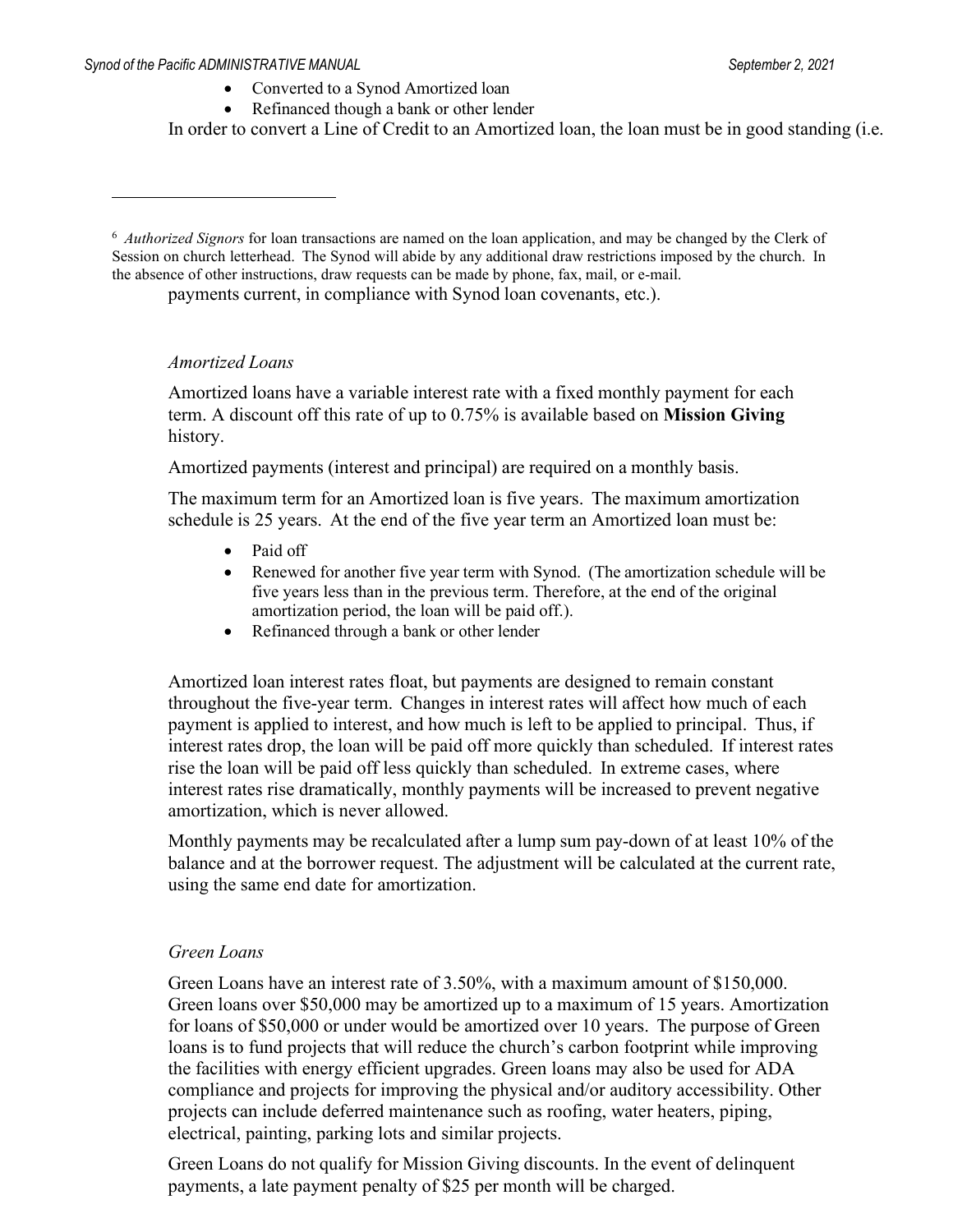- Converted to a Synod Amortized loan
- Refinanced though a bank or other lender

In order to convert a Line of Credit to an Amortized loan, the loan must be in good standing (i.e.

<span id="page-8-0"></span><sup>6</sup> *Authorized Signors* for loan transactions are named on the loan application, and may be changed by the Clerk of Session on church letterhead. The Synod will abide by any additional draw restrictions imposed by the church. In the absence of other instructions, draw requests can be made by phone, fax, mail, or e-mail.

payments current, in compliance with Synod loan covenants, etc.).

#### *Amortized Loans*

Amortized loans have a variable interest rate with a fixed monthly payment for each term. A discount off this rate of up to 0.75% is available based on **Mission Giving**  history.

Amortized payments (interest and principal) are required on a monthly basis.

The maximum term for an Amortized loan is five years. The maximum amortization schedule is 25 years. At the end of the five year term an Amortized loan must be:

- Paid off
- Renewed for another five year term with Synod. (The amortization schedule will be five years less than in the previous term. Therefore, at the end of the original amortization period, the loan will be paid off.).
- Refinanced through a bank or other lender

Amortized loan interest rates float, but payments are designed to remain constant throughout the five-year term. Changes in interest rates will affect how much of each payment is applied to interest, and how much is left to be applied to principal. Thus, if interest rates drop, the loan will be paid off more quickly than scheduled. If interest rates rise the loan will be paid off less quickly than scheduled. In extreme cases, where interest rates rise dramatically, monthly payments will be increased to prevent negative amortization, which is never allowed.

Monthly payments may be recalculated after a lump sum pay-down of at least 10% of the balance and at the borrower request. The adjustment will be calculated at the current rate, using the same end date for amortization.

#### *Green Loans*

Green Loans have an interest rate of 3.50%, with a maximum amount of \$150,000. Green loans over \$50,000 may be amortized up to a maximum of 15 years. Amortization for loans of \$50,000 or under would be amortized over 10 years. The purpose of Green loans is to fund projects that will reduce the church's carbon footprint while improving the facilities with energy efficient upgrades. Green loans may also be used for ADA compliance and projects for improving the physical and/or auditory accessibility. Other projects can include deferred maintenance such as roofing, water heaters, piping, electrical, painting, parking lots and similar projects.

Green Loans do not qualify for Mission Giving discounts. In the event of delinquent payments, a late payment penalty of \$25 per month will be charged.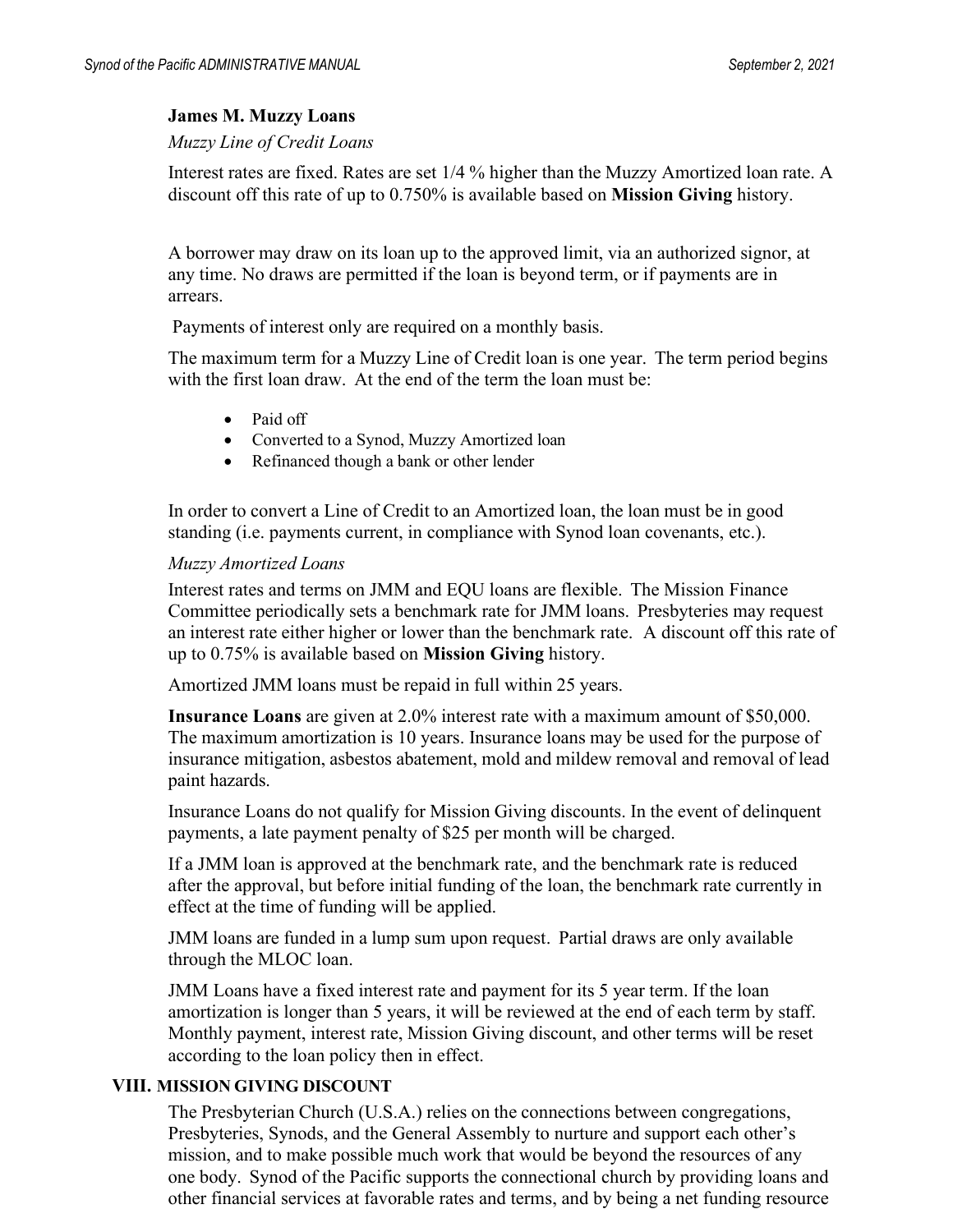#### **James M. Muzzy Loans**

#### *Muzzy Line of Credit Loans*

Interest rates are fixed. Rates are set 1/4 % higher than the Muzzy Amortized loan rate. A discount off this rate of up to 0.750% is available based on **Mission Giving** history.

A borrower may draw on its loan up to the approved limit, via an authorized signor, at any time. No draws are permitted if the loan is beyond term, or if payments are in arrears.

Payments of interest only are required on a monthly basis.

The maximum term for a Muzzy Line of Credit loan is one year. The term period begins with the first loan draw. At the end of the term the loan must be:

- Paid off
- Converted to a Synod, Muzzy Amortized loan
- Refinanced though a bank or other lender

In order to convert a Line of Credit to an Amortized loan, the loan must be in good standing (i.e. payments current, in compliance with Synod loan covenants, etc.).

#### *Muzzy Amortized Loans*

Interest rates and terms on JMM and EQU loans are flexible. The Mission Finance Committee periodically sets a benchmark rate for JMM loans. Presbyteries may request an interest rate either higher or lower than the benchmark rate. A discount off this rate of up to 0.75% is available based on **Mission Giving** history.

Amortized JMM loans must be repaid in full within 25 years.

**Insurance Loans** are given at 2.0% interest rate with a maximum amount of \$50,000. The maximum amortization is 10 years. Insurance loans may be used for the purpose of insurance mitigation, asbestos abatement, mold and mildew removal and removal of lead paint hazards.

Insurance Loans do not qualify for Mission Giving discounts. In the event of delinquent payments, a late payment penalty of \$25 per month will be charged.

If a JMM loan is approved at the benchmark rate, and the benchmark rate is reduced after the approval, but before initial funding of the loan, the benchmark rate currently in effect at the time of funding will be applied.

JMM loans are funded in a lump sum upon request. Partial draws are only available through the MLOC loan.

JMM Loans have a fixed interest rate and payment for its 5 year term. If the loan amortization is longer than 5 years, it will be reviewed at the end of each term by staff. Monthly payment, interest rate, Mission Giving discount, and other terms will be reset according to the loan policy then in effect.

#### **VIII. MISSION GIVING DISCOUNT**

The Presbyterian Church (U.S.A.) relies on the connections between congregations, Presbyteries, Synods, and the General Assembly to nurture and support each other's mission, and to make possible much work that would be beyond the resources of any one body. Synod of the Pacific supports the connectional church by providing loans and other financial services at favorable rates and terms, and by being a net funding resource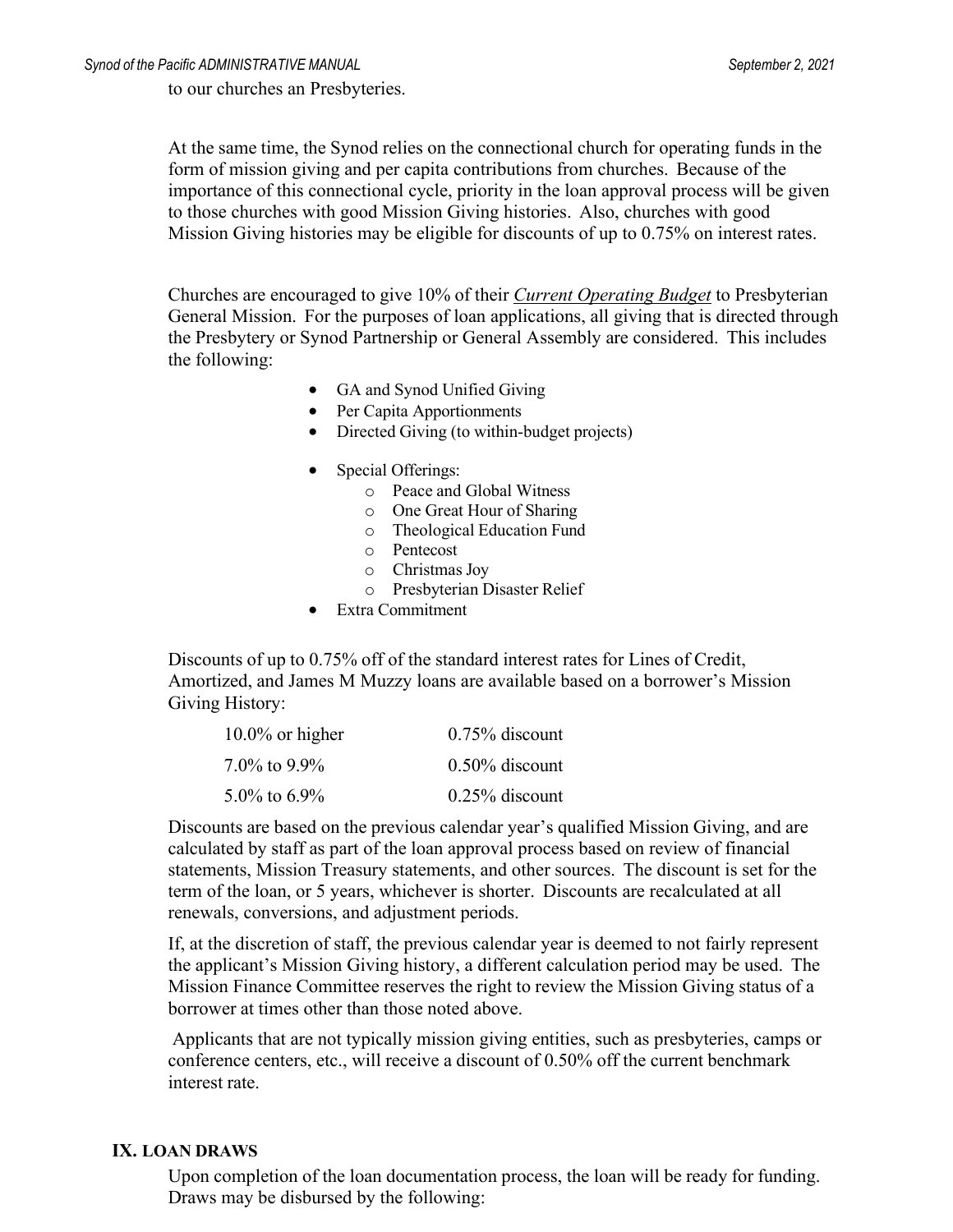to our churches an Presbyteries.

At the same time, the Synod relies on the connectional church for operating funds in the form of mission giving and per capita contributions from churches. Because of the importance of this connectional cycle, priority in the loan approval process will be given to those churches with good Mission Giving histories. Also, churches with good Mission Giving histories may be eligible for discounts of up to 0.75% on interest rates.

Churches are encouraged to give 10% of their *Current Operating Budget* to Presbyterian General Mission. For the purposes of loan applications, all giving that is directed through the Presbytery or Synod Partnership or General Assembly are considered. This includes the following:

- GA and Synod Unified Giving
- Per Capita Apportionments
- Directed Giving (to within-budget projects)
- Special Offerings:
	- o Peace and Global Witness
	- o One Great Hour of Sharing
	- o Theological Education Fund
	- o Pentecost
	- o Christmas Joy
	- o Presbyterian Disaster Relief
- Extra Commitment

Discounts of up to 0.75% off of the standard interest rates for Lines of Credit, Amortized, and James M Muzzy loans are available based on a borrower's Mission Giving History:

| $10.0\%$ or higher | $0.75\%$ discount |
|--------------------|-------------------|
| $7.0\%$ to 9.9%    | $0.50\%$ discount |
| 5.0\% to 6.9\%     | $0.25\%$ discount |

Discounts are based on the previous calendar year's qualified Mission Giving, and are calculated by staff as part of the loan approval process based on review of financial statements, Mission Treasury statements, and other sources. The discount is set for the term of the loan, or 5 years, whichever is shorter. Discounts are recalculated at all renewals, conversions, and adjustment periods.

If, at the discretion of staff, the previous calendar year is deemed to not fairly represent the applicant's Mission Giving history, a different calculation period may be used. The Mission Finance Committee reserves the right to review the Mission Giving status of a borrower at times other than those noted above.

Applicants that are not typically mission giving entities, such as presbyteries, camps or conference centers, etc., will receive a discount of 0.50% off the current benchmark interest rate.

#### **IX. LOAN DRAWS**

Upon completion of the loan documentation process, the loan will be ready for funding. Draws may be disbursed by the following: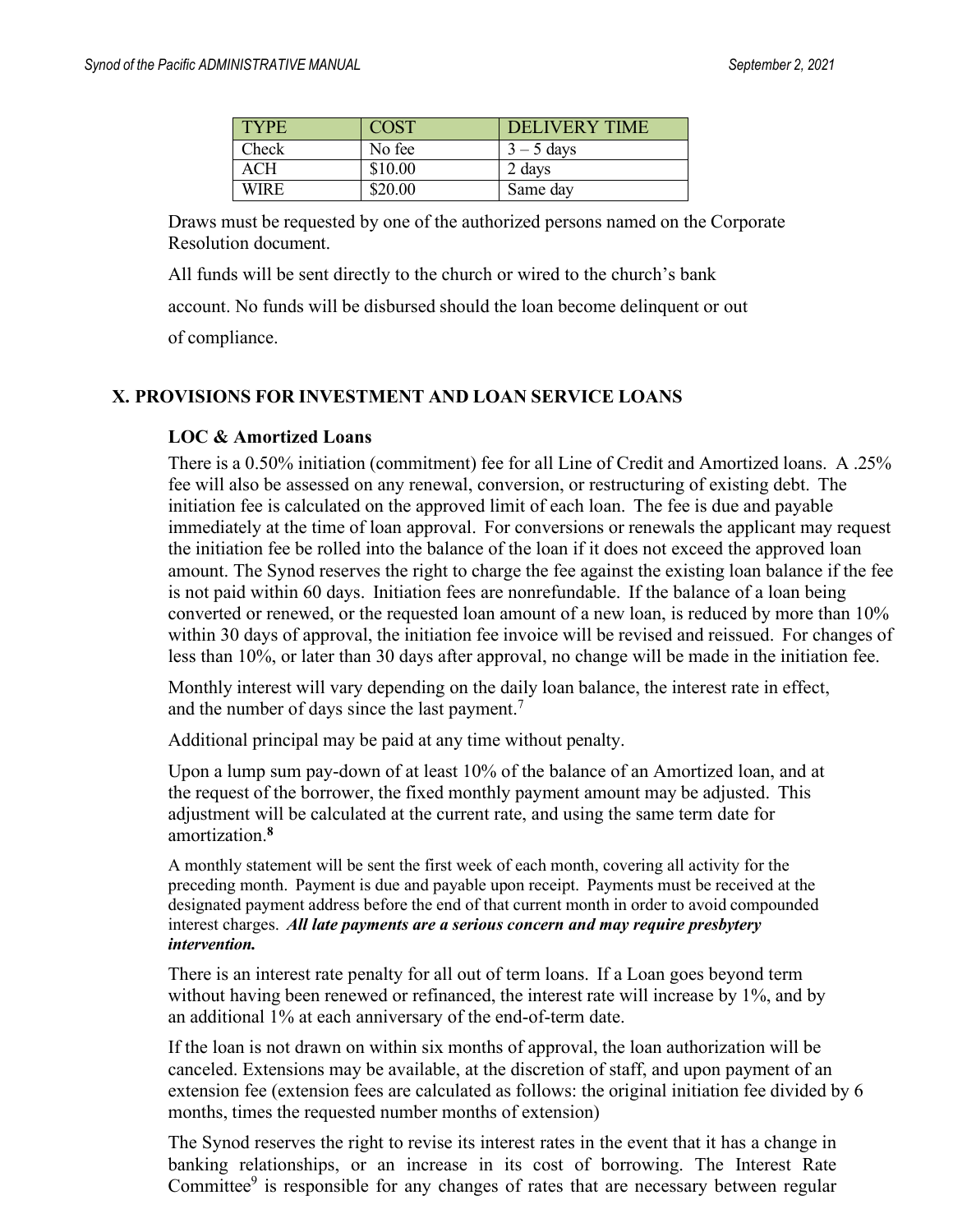| <b>TYPE</b> | COST    | <b>DELIVERY TIME</b> |
|-------------|---------|----------------------|
| Check       | No fee  | $3 - 5$ days         |
| ACH         | \$10.00 | 2 days               |
| WIRE        | \$20.00 | Same day             |

Draws must be requested by one of the authorized persons named on the Corporate Resolution document.

All funds will be sent directly to the church or wired to the church's bank

account. No funds will be disbursed should the loan become delinquent or out

of compliance.

#### **X. PROVISIONS FOR INVESTMENT AND LOAN SERVICE LOANS**

#### **LOC & Amortized Loans**

There is a 0.50% initiation (commitment) fee for all Line of Credit and Amortized loans. A .25% fee will also be assessed on any renewal, conversion, or restructuring of existing debt. The initiation fee is calculated on the approved limit of each loan. The fee is due and payable immediately at the time of loan approval. For conversions or renewals the applicant may request the initiation fee be rolled into the balance of the loan if it does not exceed the approved loan amount. The Synod reserves the right to charge the fee against the existing loan balance if the fee is not paid within 60 days. Initiation fees are nonrefundable. If the balance of a loan being converted or renewed, or the requested loan amount of a new loan, is reduced by more than 10% within 30 days of approval, the initiation fee invoice will be revised and reissued. For changes of less than 10%, or later than 30 days after approval, no change will be made in the initiation fee.

Monthly interest will vary depending on the daily loan balance, the interest rate in effect, and the number of days since the last payment.<sup>[7](#page-12-0)</sup>

Additional principal may be paid at any time without penalty.

Upon a lump sum pay-down of at least 10% of the balance of an Amortized loan, and at the request of the borrower, the fixed monthly payment amount may be adjusted. This adjustment will be calculated at the current rate, and using the same term date for amortization.**[8](#page-12-1)**

A monthly statement will be sent the first week of each month, covering all activity for the preceding month. Payment is due and payable upon receipt. Payments must be received at the designated payment address before the end of that current month in order to avoid compounded interest charges. *All late payments are a serious concern and may require presbytery intervention.*

There is an interest rate penalty for all out of term loans. If a Loan goes beyond term without having been renewed or refinanced, the interest rate will increase by 1%, and by an additional 1% at each anniversary of the end-of-term date.

If the loan is not drawn on within six months of approval, the loan authorization will be canceled. Extensions may be available, at the discretion of staff, and upon payment of an extension fee (extension fees are calculated as follows: the original initiation fee divided by 6 months, times the requested number months of extension)

The Synod reserves the right to revise its interest rates in the event that it has a change in banking relationships, or an increase in its cost of borrowing. The Interest Rate Committee $9$  is responsible for any changes of rates that are necessary between regular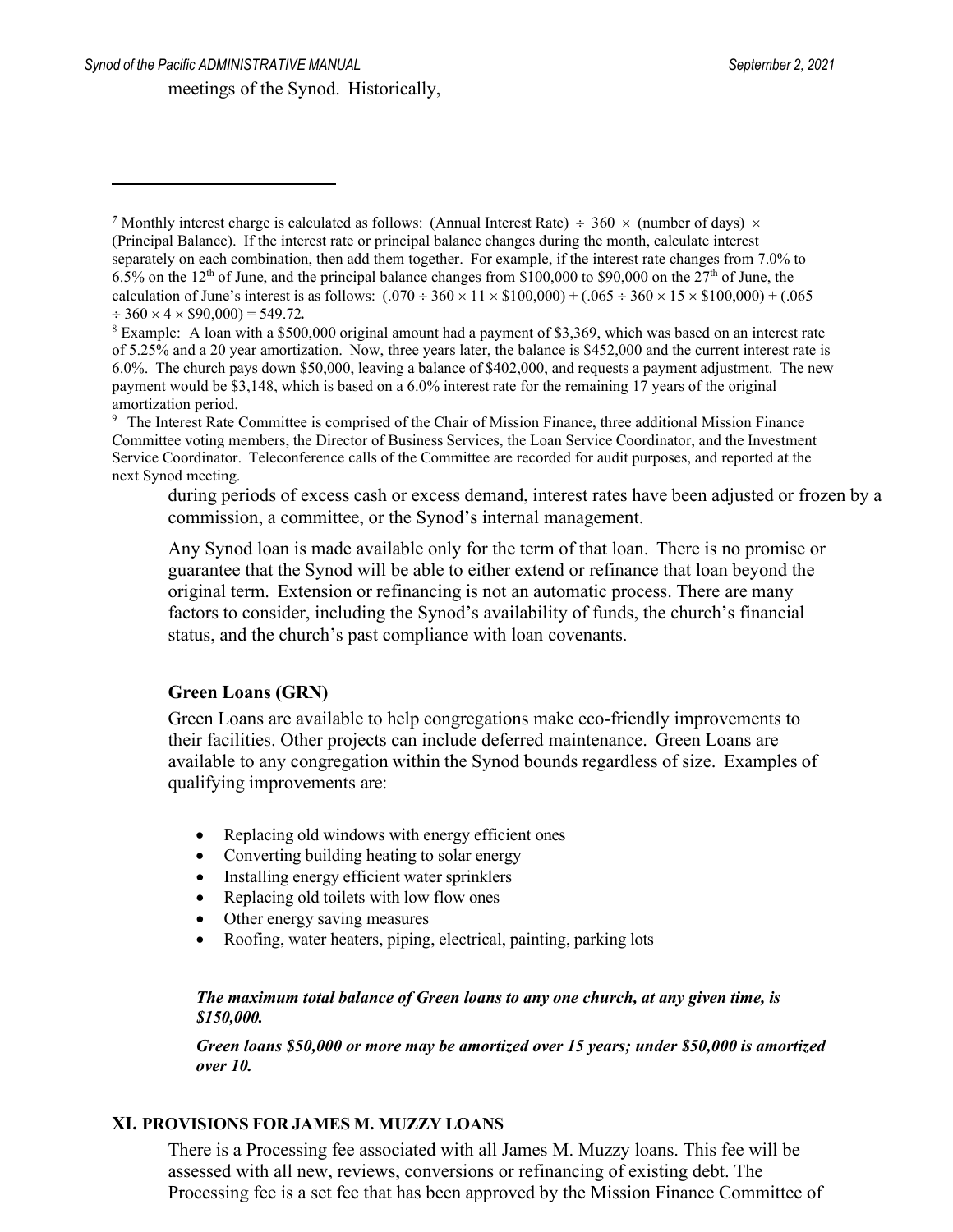<span id="page-12-1"></span><sup>8</sup> Example: A loan with a \$500,000 original amount had a payment of \$3,369, which was based on an interest rate of 5.25% and a 20 year amortization. Now, three years later, the balance is \$452,000 and the current interest rate is 6.0%. The church pays down \$50,000, leaving a balance of \$402,000, and requests a payment adjustment. The new payment would be \$3,148, which is based on a 6.0% interest rate for the remaining 17 years of the original amortization period.

during periods of excess cash or excess demand, interest rates have been adjusted or frozen by a commission, a committee, or the Synod's internal management.

Any Synod loan is made available only for the term of that loan. There is no promise or guarantee that the Synod will be able to either extend or refinance that loan beyond the original term. Extension or refinancing is not an automatic process. There are many factors to consider, including the Synod's availability of funds, the church's financial status, and the church's past compliance with loan covenants.

#### **Green Loans (GRN)**

Green Loans are available to help congregations make eco-friendly improvements to their facilities. Other projects can include deferred maintenance. Green Loans are available to any congregation within the Synod bounds regardless of size. Examples of qualifying improvements are:

- Replacing old windows with energy efficient ones
- Converting building heating to solar energy
- Installing energy efficient water sprinklers
- Replacing old toilets with low flow ones
- Other energy saving measures
- Roofing, water heaters, piping, electrical, painting, parking lots

#### *The maximum total balance of Green loans to any one church, at any given time, is \$150,000.*

*Green loans \$50,000 or more may be amortized over 15 years; under \$50,000 is amortized over 10.*

#### **XI. PROVISIONS FOR JAMES M. MUZZY LOANS**

There is a Processing fee associated with all James M. Muzzy loans. This fee will be assessed with all new, reviews, conversions or refinancing of existing debt. The Processing fee is a set fee that has been approved by the Mission Finance Committee of

<span id="page-12-0"></span><sup>&</sup>lt;sup>7</sup> Monthly interest charge is calculated as follows: (Annual Interest Rate)  $\div$  360  $\times$  (number of days)  $\times$ (Principal Balance). If the interest rate or principal balance changes during the month, calculate interest separately on each combination, then add them together. For example, if the interest rate changes from 7.0% to 6.5% on the  $12<sup>th</sup>$  of June, and the principal balance changes from \$100,000 to \$90,000 on the  $27<sup>th</sup>$  of June, the calculation of June's interest is as follows:  $(.070 \div 360 \times 11 \times $100,000) + (.065 \div 360 \times 15 \times $100,000) + (.065$  $\div$  360  $\times$  4  $\times$  \$90,000) = 549.72.

<span id="page-12-2"></span><sup>9</sup> The Interest Rate Committee is comprised of the Chair of Mission Finance, three additional Mission Finance Committee voting members, the Director of Business Services, the Loan Service Coordinator, and the Investment Service Coordinator. Teleconference calls of the Committee are recorded for audit purposes, and reported at the next Synod meeting.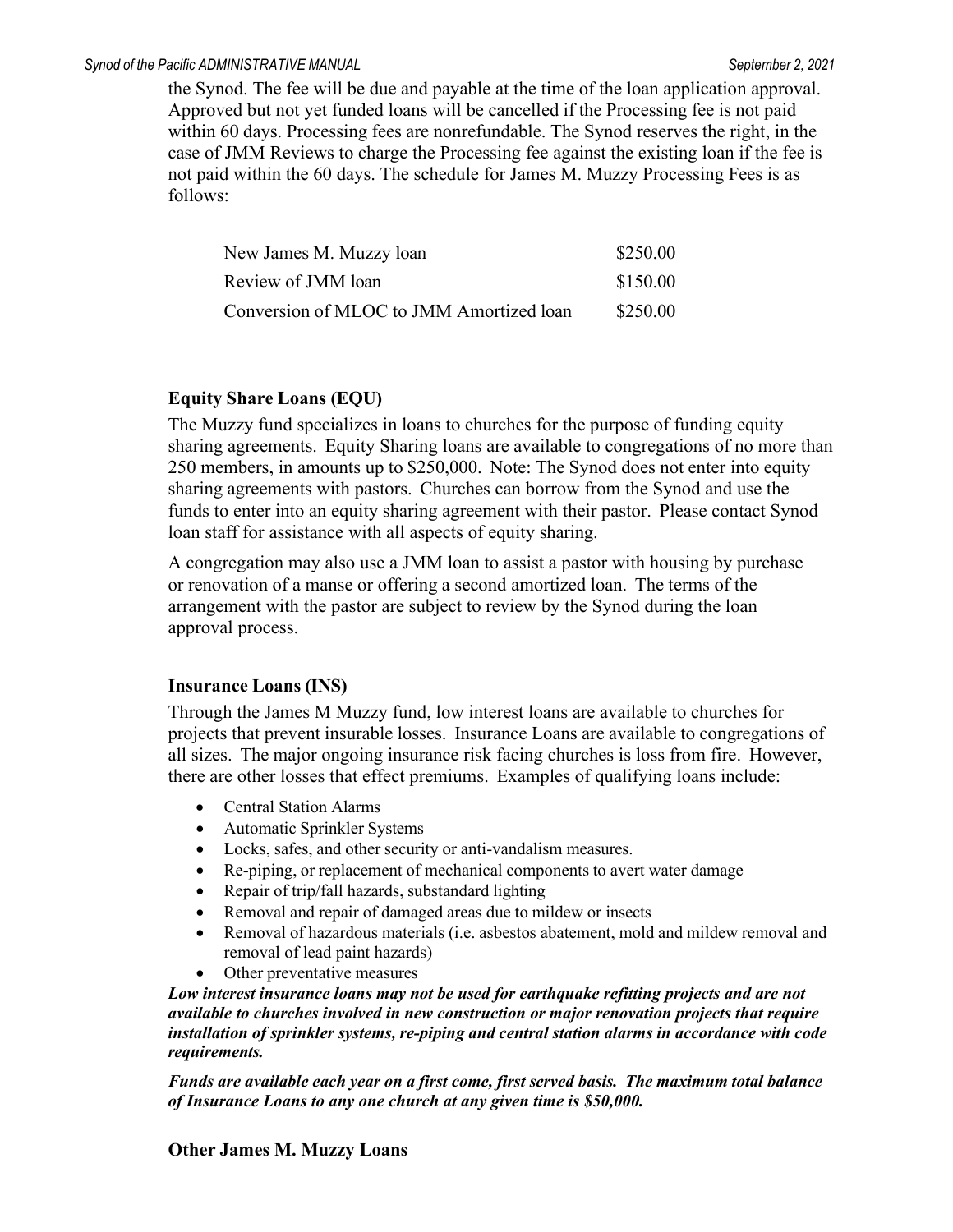the Synod. The fee will be due and payable at the time of the loan application approval. Approved but not yet funded loans will be cancelled if the Processing fee is not paid within 60 days. Processing fees are nonrefundable. The Synod reserves the right, in the case of JMM Reviews to charge the Processing fee against the existing loan if the fee is not paid within the 60 days. The schedule for James M. Muzzy Processing Fees is as follows:

| New James M. Muzzy loan                  | \$250.00 |
|------------------------------------------|----------|
| Review of JMM loan                       | \$150.00 |
| Conversion of MLOC to JMM Amortized loan | \$250.00 |

#### **Equity Share Loans (EQU)**

The Muzzy fund specializes in loans to churches for the purpose of funding equity sharing agreements. Equity Sharing loans are available to congregations of no more than 250 members, in amounts up to \$250,000. Note: The Synod does not enter into equity sharing agreements with pastors. Churches can borrow from the Synod and use the funds to enter into an equity sharing agreement with their pastor. Please contact Synod loan staff for assistance with all aspects of equity sharing.

A congregation may also use a JMM loan to assist a pastor with housing by purchase or renovation of a manse or offering a second amortized loan. The terms of the arrangement with the pastor are subject to review by the Synod during the loan approval process.

#### **Insurance Loans (INS)**

Through the James M Muzzy fund, low interest loans are available to churches for projects that prevent insurable losses. Insurance Loans are available to congregations of all sizes. The major ongoing insurance risk facing churches is loss from fire. However, there are other losses that effect premiums. Examples of qualifying loans include:

- Central Station Alarms
- Automatic Sprinkler Systems
- Locks, safes, and other security or anti-vandalism measures.
- Re-piping, or replacement of mechanical components to avert water damage
- Repair of trip/fall hazards, substandard lighting
- Removal and repair of damaged areas due to mildew or insects
- Removal of hazardous materials (i.e. asbestos abatement, mold and mildew removal and removal of lead paint hazards)
- Other preventative measures

*Low interest insurance loans may not be used for earthquake refitting projects and are not available to churches involved in new construction or major renovation projects that require installation of sprinkler systems, re-piping and central station alarms in accordance with code requirements.*

*Funds are available each year on a first come, first served basis. The maximum total balance of Insurance Loans to any one church at any given time is \$50,000.*

#### **Other James M. Muzzy Loans**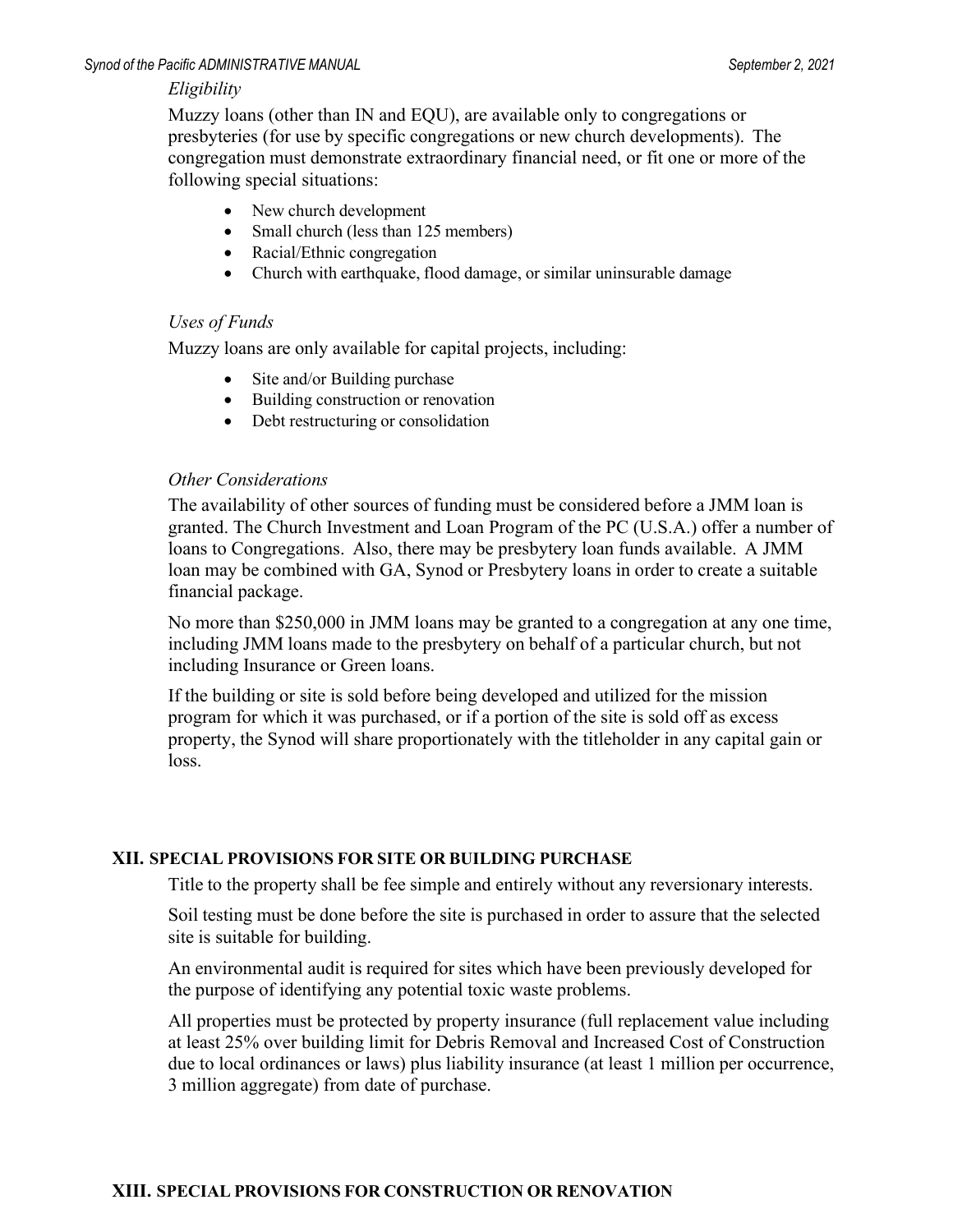#### *Eligibility*

Muzzy loans (other than IN and EQU), are available only to congregations or presbyteries (for use by specific congregations or new church developments). The congregation must demonstrate extraordinary financial need, or fit one or more of the following special situations:

- New church development
- Small church (less than 125 members)
- Racial/Ethnic congregation
- Church with earthquake, flood damage, or similar uninsurable damage

#### *Uses of Funds*

Muzzy loans are only available for capital projects, including:

- Site and/or Building purchase
- Building construction or renovation
- Debt restructuring or consolidation

#### *Other Considerations*

The availability of other sources of funding must be considered before a JMM loan is granted. The Church Investment and Loan Program of the PC (U.S.A.) offer a number of loans to Congregations. Also, there may be presbytery loan funds available. A JMM loan may be combined with GA, Synod or Presbytery loans in order to create a suitable financial package.

No more than \$250,000 in JMM loans may be granted to a congregation at any one time, including JMM loans made to the presbytery on behalf of a particular church, but not including Insurance or Green loans.

If the building or site is sold before being developed and utilized for the mission program for which it was purchased, or if a portion of the site is sold off as excess property, the Synod will share proportionately with the titleholder in any capital gain or loss.

#### **XII. SPECIAL PROVISIONS FOR SITE OR BUILDING PURCHASE**

Title to the property shall be fee simple and entirely without any reversionary interests.

Soil testing must be done before the site is purchased in order to assure that the selected site is suitable for building.

An environmental audit is required for sites which have been previously developed for the purpose of identifying any potential toxic waste problems.

All properties must be protected by property insurance (full replacement value including at least 25% over building limit for Debris Removal and Increased Cost of Construction due to local ordinances or laws) plus liability insurance (at least 1 million per occurrence, 3 million aggregate) from date of purchase.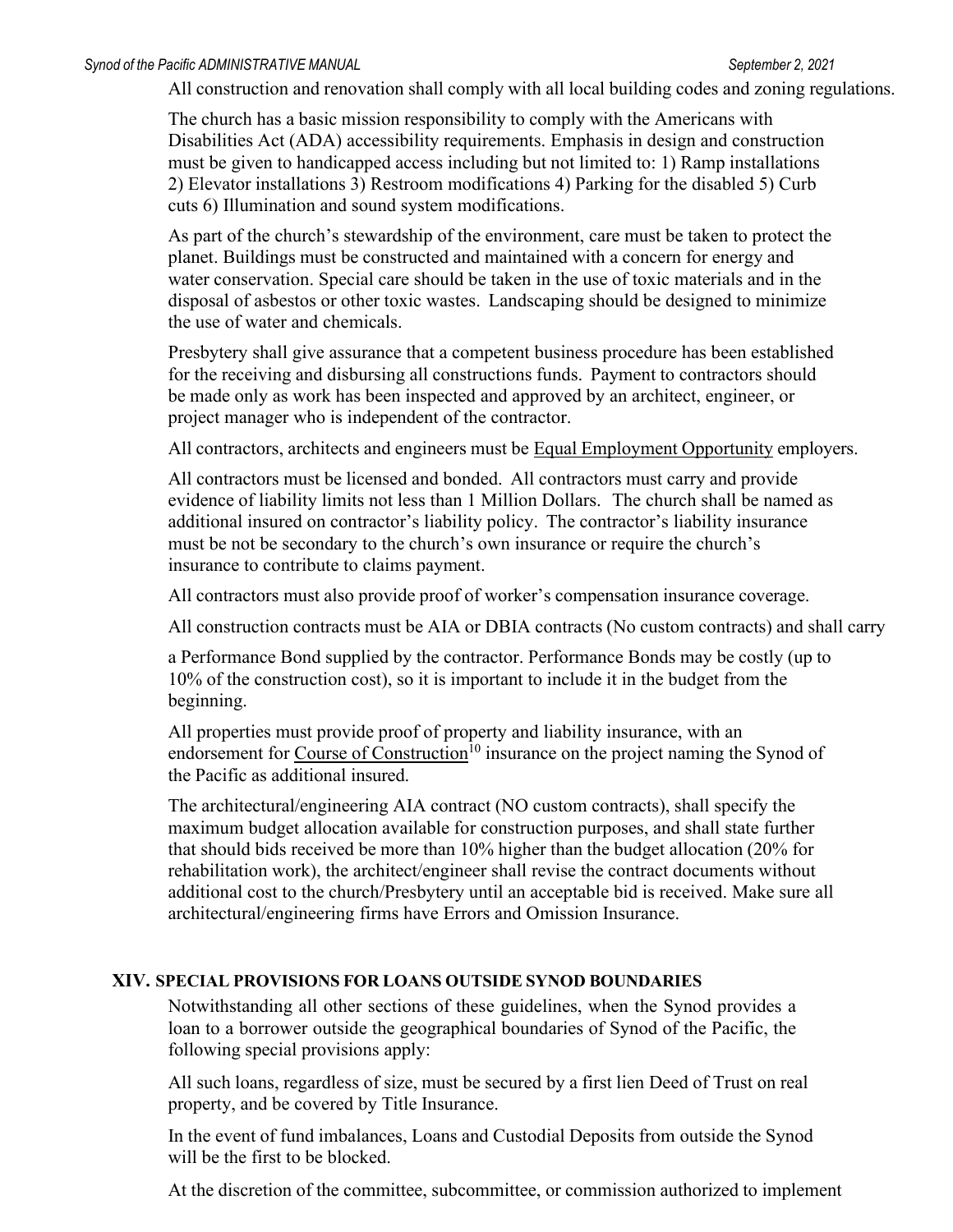All construction and renovation shall comply with all local building codes and zoning regulations.

The church has a basic mission responsibility to comply with the Americans with Disabilities Act (ADA) accessibility requirements. Emphasis in design and construction must be given to handicapped access including but not limited to: 1) Ramp installations 2) Elevator installations 3) Restroom modifications 4) Parking for the disabled 5) Curb cuts 6) Illumination and sound system modifications.

As part of the church's stewardship of the environment, care must be taken to protect the planet. Buildings must be constructed and maintained with a concern for energy and water conservation. Special care should be taken in the use of toxic materials and in the disposal of asbestos or other toxic wastes. Landscaping should be designed to minimize the use of water and chemicals.

Presbytery shall give assurance that a competent business procedure has been established for the receiving and disbursing all constructions funds. Payment to contractors should be made only as work has been inspected and approved by an architect, engineer, or project manager who is independent of the contractor.

All contractors, architects and engineers must be Equal Employment Opportunity employers.

All contractors must be licensed and bonded. All contractors must carry and provide evidence of liability limits not less than 1 Million Dollars. The church shall be named as additional insured on contractor's liability policy. The contractor's liability insurance must be not be secondary to the church's own insurance or require the church's insurance to contribute to claims payment.

All contractors must also provide proof of worker's compensation insurance coverage.

All construction contracts must be AIA or DBIA contracts (No custom contracts) and shall carry

a Performance Bond supplied by the contractor. Performance Bonds may be costly (up to 10% of the construction cost), so it is important to include it in the budget from the beginning.

All properties must provide proof of property and liability insurance, with an endorsement for Course of Construction<sup>10</sup> insurance on the project naming the Synod of the Pacific as additional insured.

The architectural/engineering AIA contract (NO custom contracts), shall specify the maximum budget allocation available for construction purposes, and shall state further that should bids received be more than 10% higher than the budget allocation (20% for rehabilitation work), the architect/engineer shall revise the contract documents without additional cost to the church/Presbytery until an acceptable bid is received. Make sure all architectural/engineering firms have Errors and Omission Insurance.

#### **XIV. SPECIAL PROVISIONS FOR LOANS OUTSIDE SYNOD BOUNDARIES**

Notwithstanding all other sections of these guidelines, when the Synod provides a loan to a borrower outside the geographical boundaries of Synod of the Pacific, the following special provisions apply:

All such loans, regardless of size, must be secured by a first lien Deed of Trust on real property, and be covered by Title Insurance.

In the event of fund imbalances, Loans and Custodial Deposits from outside the Synod will be the first to be blocked.

At the discretion of the committee, subcommittee, or commission authorized to implement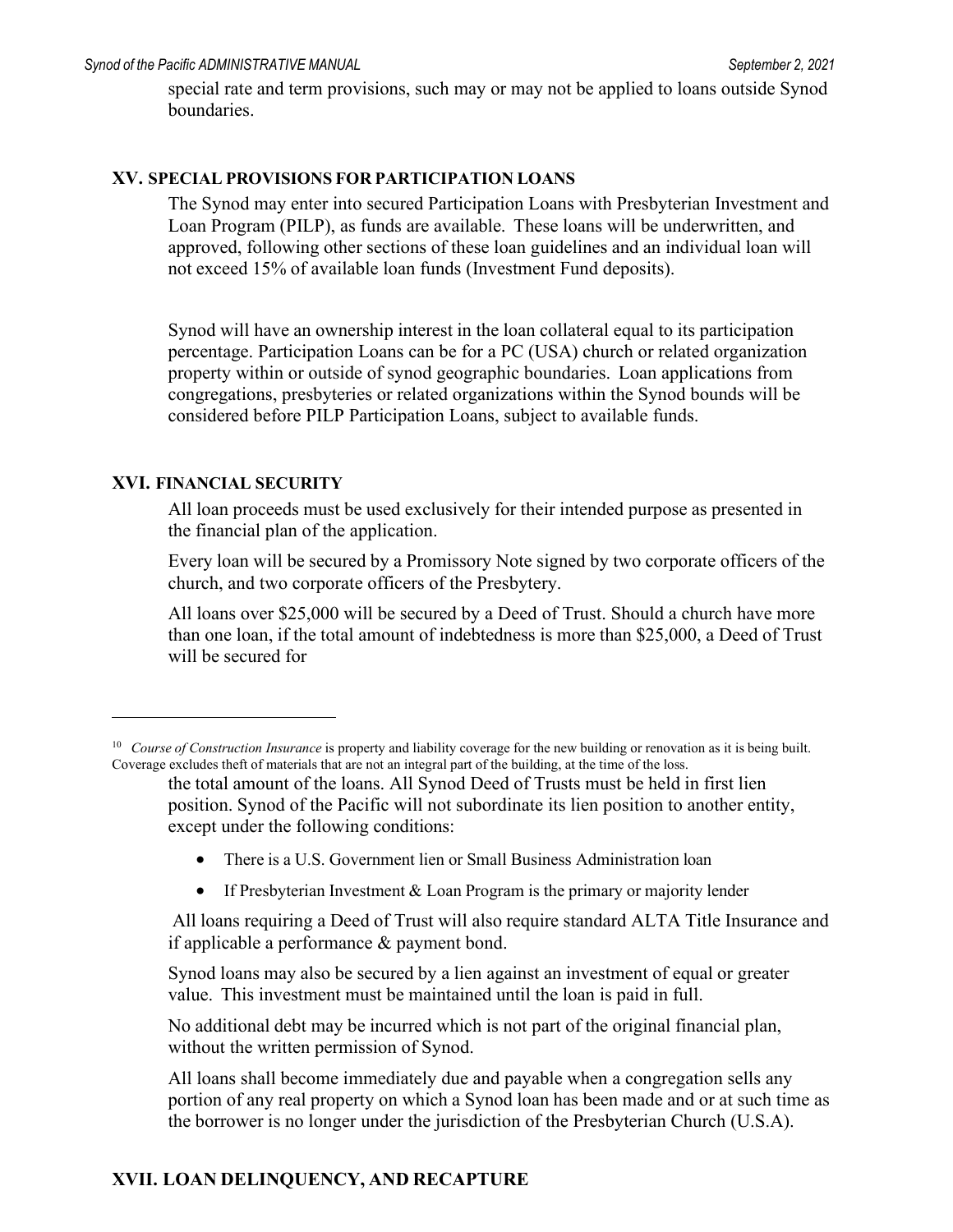special rate and term provisions, such may or may not be applied to loans outside Synod boundaries.

#### **XV. SPECIAL PROVISIONS FOR PARTICIPATION LOANS**

The Synod may enter into secured Participation Loans with Presbyterian Investment and Loan Program (PILP), as funds are available. These loans will be underwritten, and approved, following other sections of these loan guidelines and an individual loan will not exceed 15% of available loan funds (Investment Fund deposits).

Synod will have an ownership interest in the loan collateral equal to its participation percentage. Participation Loans can be for a PC (USA) church or related organization property within or outside of synod geographic boundaries. Loan applications from congregations, presbyteries or related organizations within the Synod bounds will be considered before PILP Participation Loans, subject to available funds.

#### **XVI. FINANCIAL SECURITY**

All loan proceeds must be used exclusively for their intended purpose as presented in the financial plan of the application.

Every loan will be secured by a Promissory Note signed by two corporate officers of the church, and two corporate officers of the Presbytery.

All loans over \$25,000 will be secured by a Deed of Trust. Should a church have more than one loan, if the total amount of indebtedness is more than \$25,000, a Deed of Trust will be secured for

- There is a U.S. Government lien or Small Business Administration loan
- If Presbyterian Investment  $& Loan Program$  is the primary or majority lender

All loans requiring a Deed of Trust will also require standard ALTA Title Insurance and if applicable a performance & payment bond.

Synod loans may also be secured by a lien against an investment of equal or greater value. This investment must be maintained until the loan is paid in full.

No additional debt may be incurred which is not part of the original financial plan, without the written permission of Synod.

All loans shall become immediately due and payable when a congregation sells any portion of any real property on which a Synod loan has been made and or at such time as the borrower is no longer under the jurisdiction of the Presbyterian Church (U.S.A).

#### **XVII. LOAN DELINQUENCY, AND RECAPTURE**

<span id="page-16-0"></span><sup>10</sup> *Course of Construction Insurance* is property and liability coverage for the new building or renovation as it is being built. Coverage excludes theft of materials that are not an integral part of the building, at the time of the loss.

the total amount of the loans. All Synod Deed of Trusts must be held in first lien position. Synod of the Pacific will not subordinate its lien position to another entity, except under the following conditions: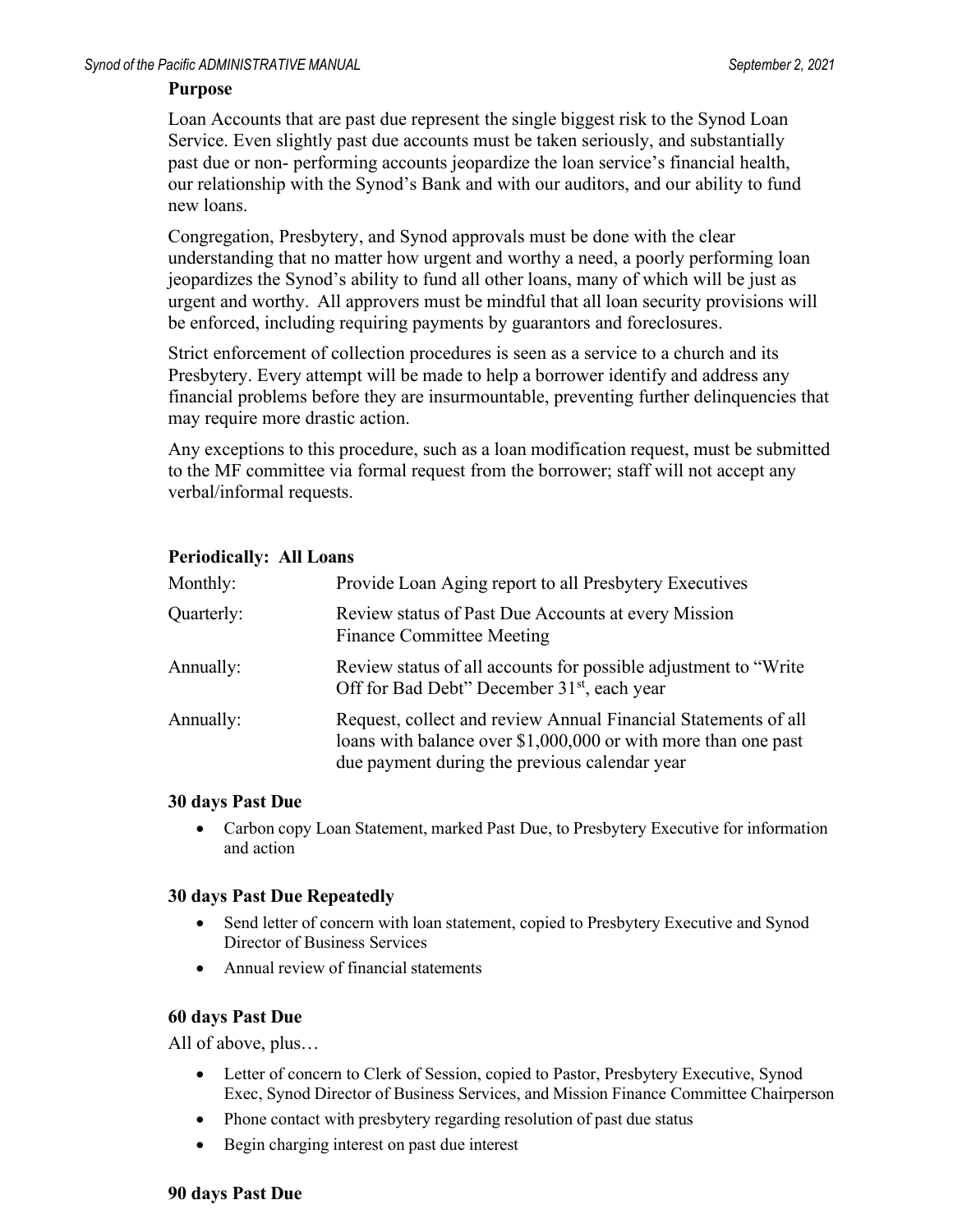#### **Purpose**

Loan Accounts that are past due represent the single biggest risk to the Synod Loan Service. Even slightly past due accounts must be taken seriously, and substantially past due or non- performing accounts jeopardize the loan service's financial health, our relationship with the Synod's Bank and with our auditors, and our ability to fund new loans.

Congregation, Presbytery, and Synod approvals must be done with the clear understanding that no matter how urgent and worthy a need, a poorly performing loan jeopardizes the Synod's ability to fund all other loans, many of which will be just as urgent and worthy. All approvers must be mindful that all loan security provisions will be enforced, including requiring payments by guarantors and foreclosures.

Strict enforcement of collection procedures is seen as a service to a church and its Presbytery. Every attempt will be made to help a borrower identify and address any financial problems before they are insurmountable, preventing further delinquencies that may require more drastic action.

Any exceptions to this procedure, such as a loan modification request, must be submitted to the MF committee via formal request from the borrower; staff will not accept any verbal/informal requests.

#### **Periodically: All Loans**

| Monthly:   | Provide Loan Aging report to all Presbytery Executives                                                                                                                            |
|------------|-----------------------------------------------------------------------------------------------------------------------------------------------------------------------------------|
| Quarterly: | Review status of Past Due Accounts at every Mission<br><b>Finance Committee Meeting</b>                                                                                           |
| Annually:  | Review status of all accounts for possible adjustment to "Write"<br>Off for Bad Debt" December 31 <sup>st</sup> , each year                                                       |
| Annually:  | Request, collect and review Annual Financial Statements of all<br>loans with balance over \$1,000,000 or with more than one past<br>due payment during the previous calendar year |

#### **30 days Past Due**

• Carbon copy Loan Statement, marked Past Due, to Presbytery Executive for information and action

#### **30 days Past Due Repeatedly**

- Send letter of concern with loan statement, copied to Presbytery Executive and Synod Director of Business Services
- Annual review of financial statements

#### **60 days Past Due**

All of above, plus…

- Letter of concern to Clerk of Session, copied to Pastor, Presbytery Executive, Synod Exec, Synod Director of Business Services, and Mission Finance Committee Chairperson
- Phone contact with presbytery regarding resolution of past due status
- Begin charging interest on past due interest

#### **90 days Past Due**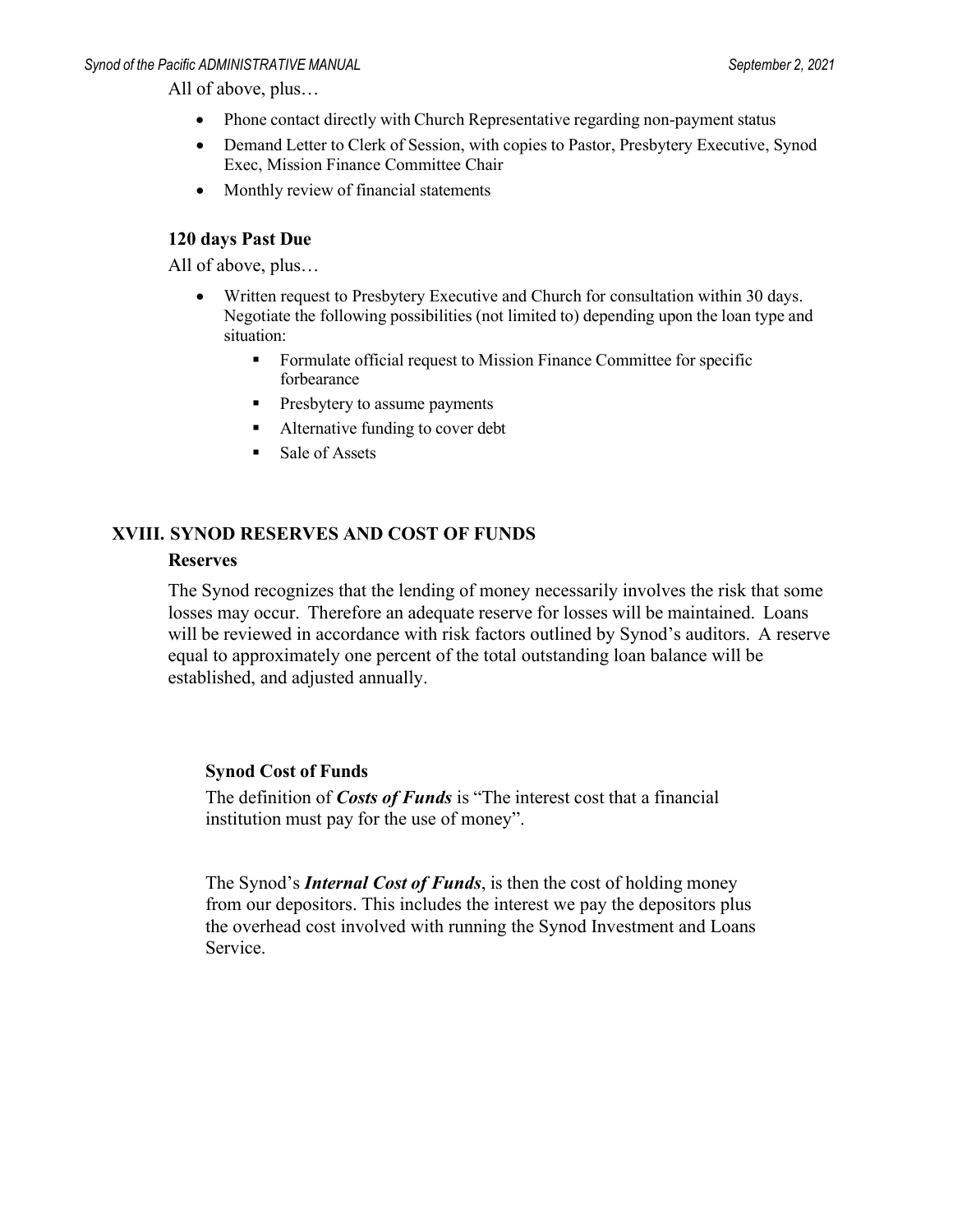All of above, plus…

- Phone contact directly with Church Representative regarding non-payment status
- Demand Letter to Clerk of Session, with copies to Pastor, Presbytery Executive, Synod Exec, Mission Finance Committee Chair
- Monthly review of financial statements

#### **120 days Past Due**

All of above, plus…

- Written request to Presbytery Executive and Church for consultation within 30 days. Negotiate the following possibilities (not limited to) depending upon the loan type and situation:
	- **Formulate official request to Mission Finance Committee for specific** forbearance
	- **Presbytery to assume payments**
	- Alternative funding to cover debt
	- Sale of Assets

#### **XVIII. SYNOD RESERVES AND COST OF FUNDS**

#### **Reserves**

The Synod recognizes that the lending of money necessarily involves the risk that some losses may occur. Therefore an adequate reserve for losses will be maintained. Loans will be reviewed in accordance with risk factors outlined by Synod's auditors. A reserve equal to approximately one percent of the total outstanding loan balance will be established, and adjusted annually.

#### **Synod Cost of Funds**

The definition of *Costs of Funds* is "The interest cost that a financial institution must pay for the use of money".

The Synod's *Internal Cost of Funds*, is then the cost of holding money from our depositors. This includes the interest we pay the depositors plus the overhead cost involved with running the Synod Investment and Loans Service.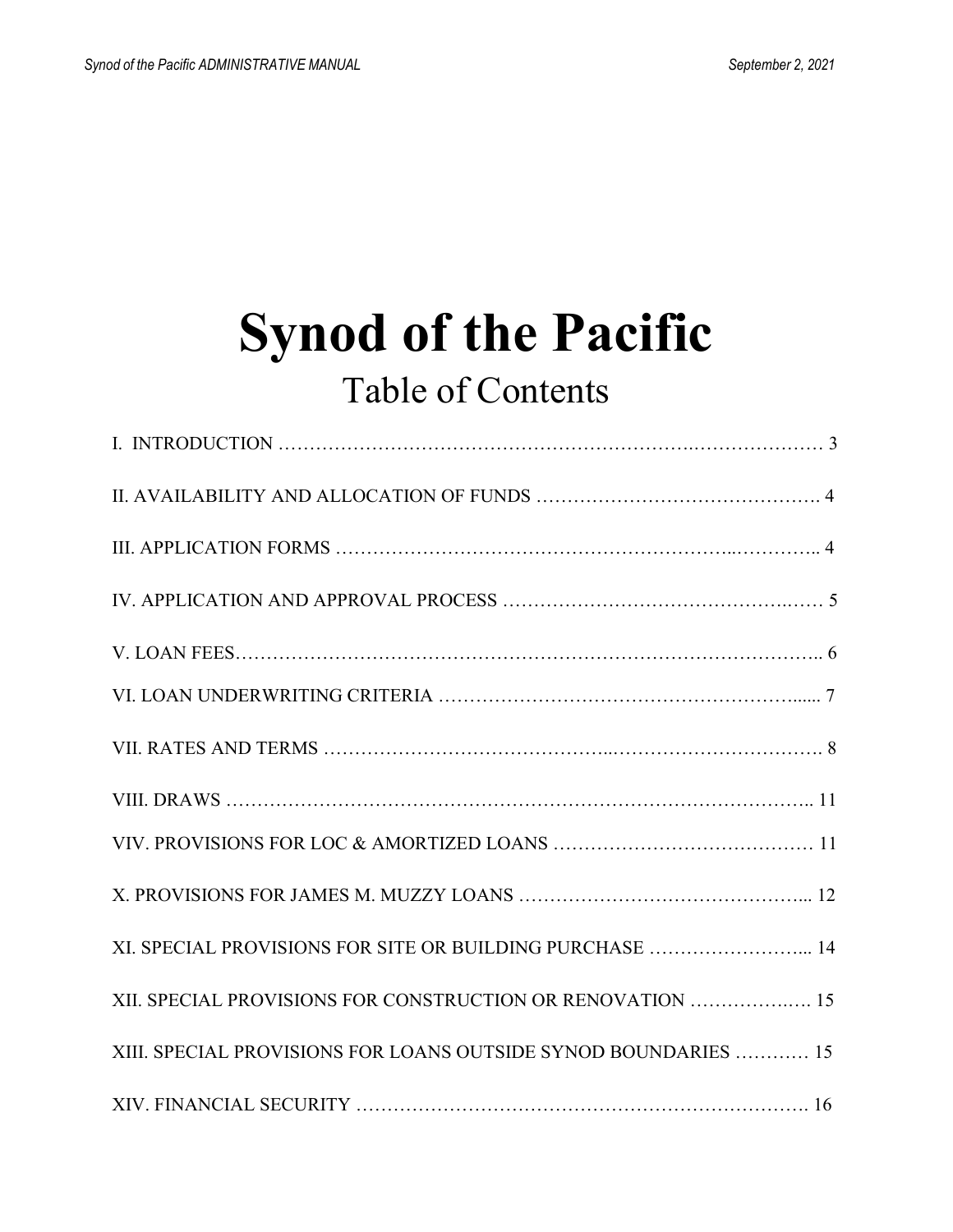## **Synod of the Pacific** Table of Contents

| XI. SPECIAL PROVISIONS FOR SITE OR BUILDING PURCHASE  14        |
|-----------------------------------------------------------------|
| XII. SPECIAL PROVISIONS FOR CONSTRUCTION OR RENOVATION  15      |
| XIII. SPECIAL PROVISIONS FOR LOANS OUTSIDE SYNOD BOUNDARIES  15 |
|                                                                 |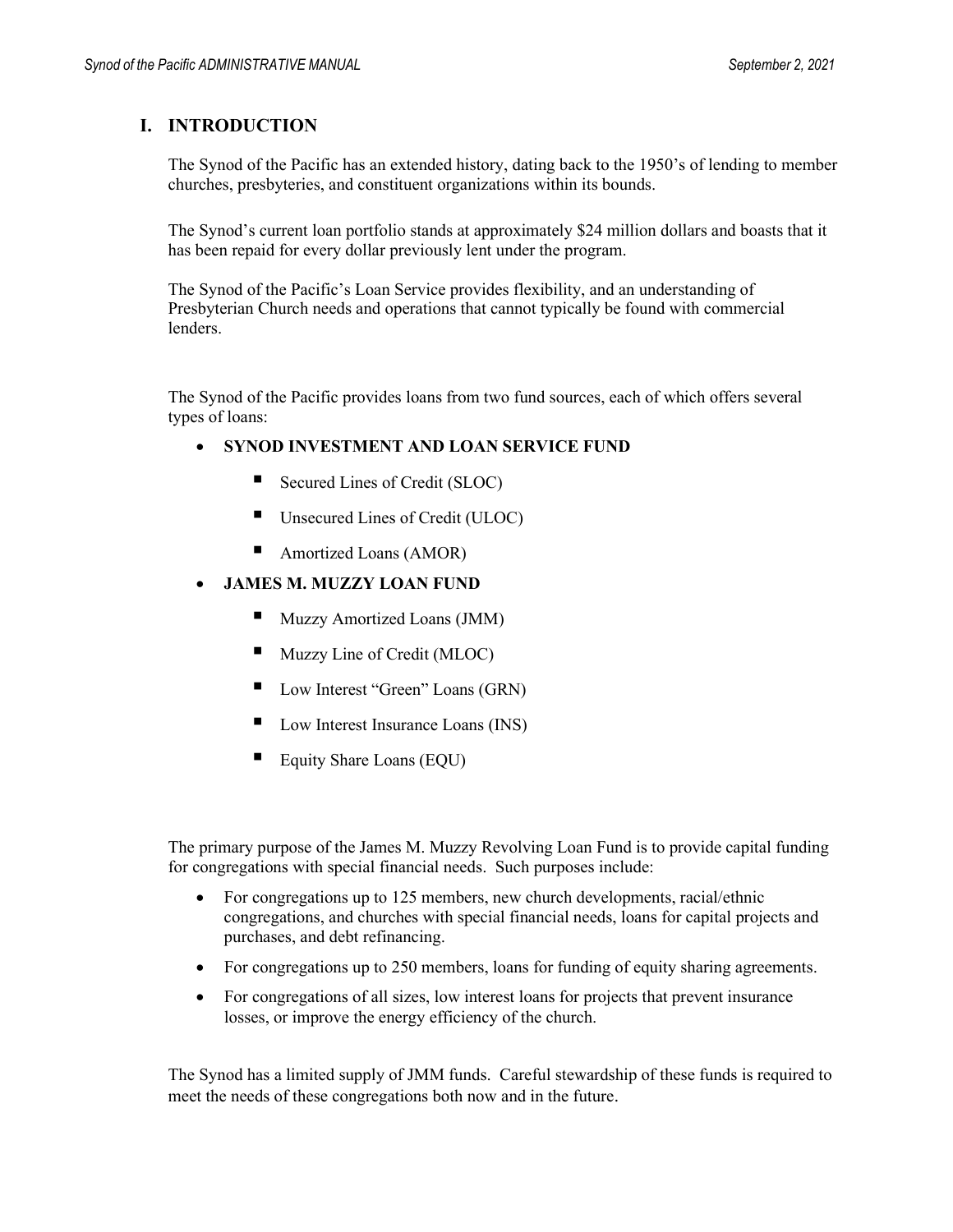#### **I. INTRODUCTION**

The Synod of the Pacific has an extended history, dating back to the 1950's of lending to member churches, presbyteries, and constituent organizations within its bounds.

The Synod's current loan portfolio stands at approximately \$24 million dollars and boasts that it has been repaid for every dollar previously lent under the program.

The Synod of the Pacific's Loan Service provides flexibility, and an understanding of Presbyterian Church needs and operations that cannot typically be found with commercial lenders.

The Synod of the Pacific provides loans from two fund sources, each of which offers several types of loans:

#### • **SYNOD INVESTMENT AND LOAN SERVICE FUND**

- Secured Lines of Credit (SLOC)
- Unsecured Lines of Credit (ULOC)
- Amortized Loans (AMOR)

#### • **JAMES M. MUZZY LOAN FUND**

- Muzzy Amortized Loans (JMM)
- Muzzy Line of Credit (MLOC)
- Low Interest "Green" Loans (GRN)
- Low Interest Insurance Loans (INS)
- Equity Share Loans (EQU)

The primary purpose of the James M. Muzzy Revolving Loan Fund is to provide capital funding for congregations with special financial needs. Such purposes include:

- For congregations up to 125 members, new church developments, racial/ethnic congregations, and churches with special financial needs, loans for capital projects and purchases, and debt refinancing.
- For congregations up to 250 members, loans for funding of equity sharing agreements.
- For congregations of all sizes, low interest loans for projects that prevent insurance losses, or improve the energy efficiency of the church.

The Synod has a limited supply of JMM funds. Careful stewardship of these funds is required to meet the needs of these congregations both now and in the future.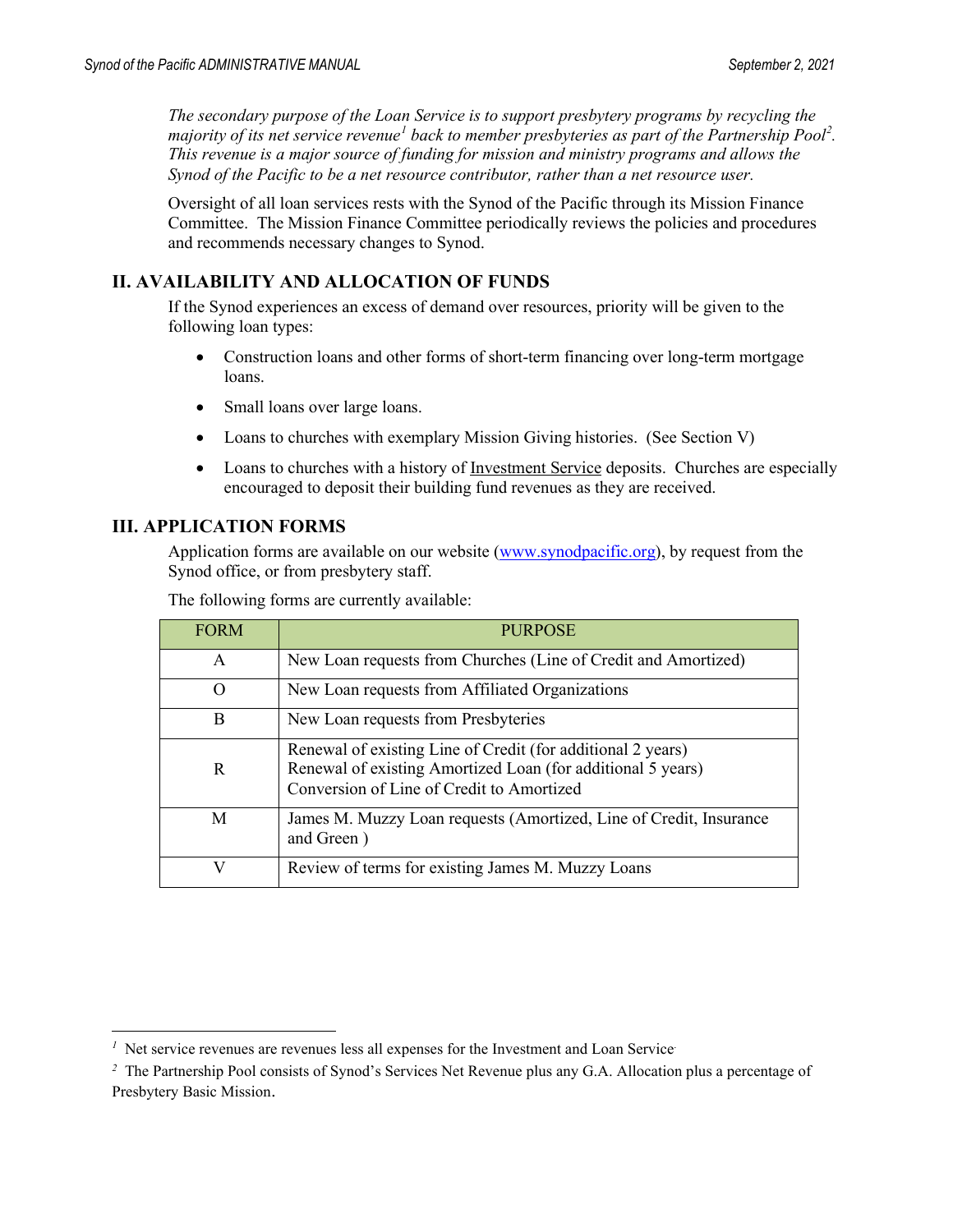*The secondary purpose of the Loan Service is to support presbytery programs by recycling the majority of its net service revenue[1](#page-22-0) back to member presbyteries as part of the Partnership Pool[2](#page-22-1) . This revenue is a major source of funding for mission and ministry programs and allows the Synod of the Pacific to be a net resource contributor, rather than a net resource user.* 

Oversight of all loan services rests with the Synod of the Pacific through its Mission Finance Committee. The Mission Finance Committee periodically reviews the policies and procedures and recommends necessary changes to Synod.

#### **II. AVAILABILITY AND ALLOCATION OF FUNDS**

If the Synod experiences an excess of demand over resources, priority will be given to the following loan types:

- Construction loans and other forms of short-term financing over long-term mortgage loans.
- Small loans over large loans.
- Loans to churches with exemplary Mission Giving histories. (See Section V)
- Loans to churches with a history of <u>Investment Service</u> deposits. Churches are especially encouraged to deposit their building fund revenues as they are received.

#### **III. APPLICATION FORMS**

Application forms are available on our website (www.synodpacific.org), by request from the Synod office, or from presbytery staff.

| <b>FORM</b> | <b>PURPOSE</b>                                                                                                                                                          |
|-------------|-------------------------------------------------------------------------------------------------------------------------------------------------------------------------|
| A           | New Loan requests from Churches (Line of Credit and Amortized)                                                                                                          |
| O           | New Loan requests from Affiliated Organizations                                                                                                                         |
| B           | New Loan requests from Presbyteries                                                                                                                                     |
| R           | Renewal of existing Line of Credit (for additional 2 years)<br>Renewal of existing Amortized Loan (for additional 5 years)<br>Conversion of Line of Credit to Amortized |
| M           | James M. Muzzy Loan requests (Amortized, Line of Credit, Insurance<br>and Green)                                                                                        |
| V           | Review of terms for existing James M. Muzzy Loans                                                                                                                       |

<span id="page-22-0"></span> $<sup>1</sup>$  Net service revenues are revenues less all expenses for the Investment and Loan Service.</sup>

<span id="page-22-1"></span>*<sup>2</sup>*The Partnership Pool consists of Synod's Services Net Revenue plus any G.A. Allocation plus a percentage of Presbytery Basic Mission.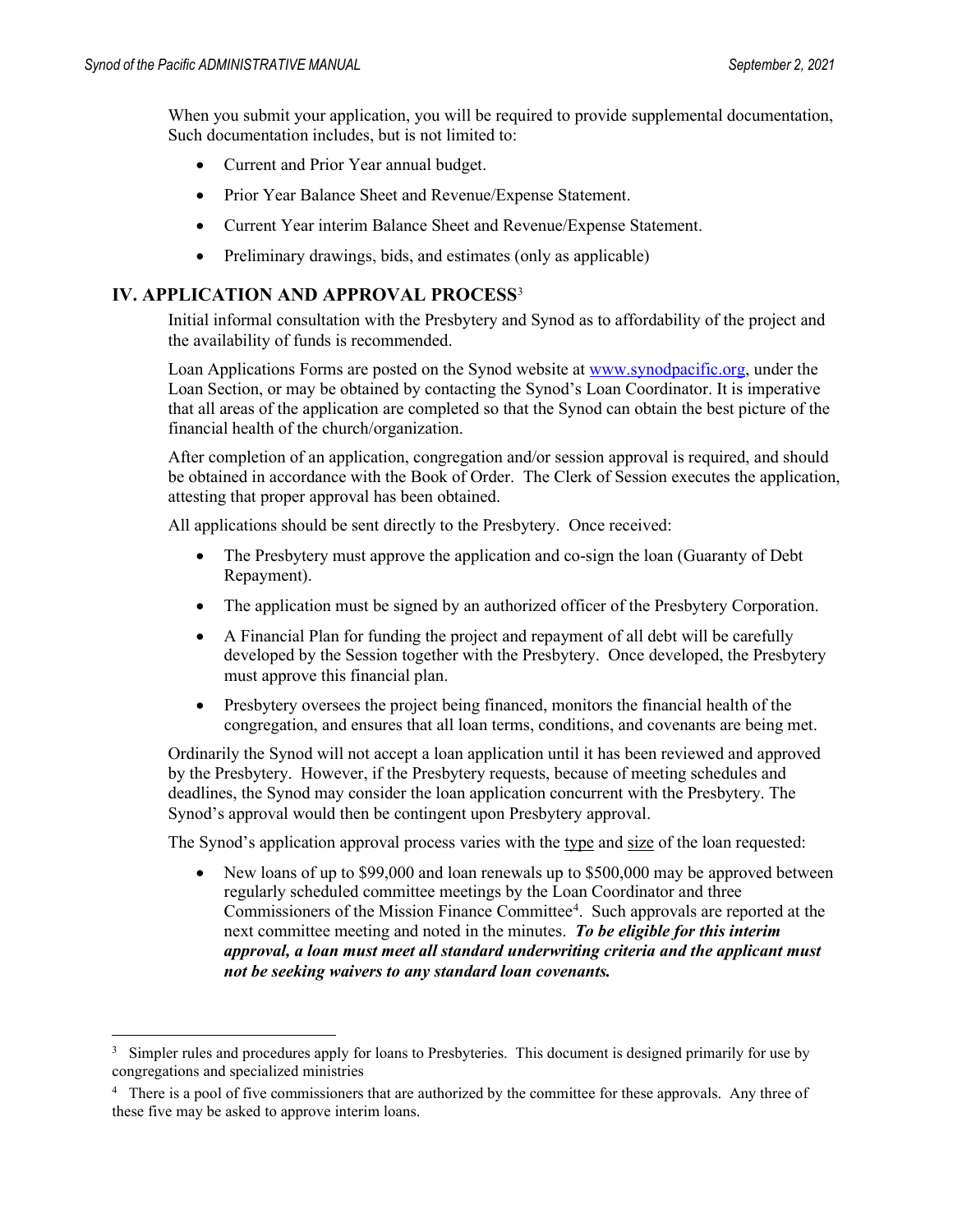When you submit your application, you will be required to provide supplemental documentation, Such documentation includes, but is not limited to:

- Current and Prior Year annual budget.
- Prior Year Balance Sheet and Revenue/Expense Statement.
- Current Year interim Balance Sheet and Revenue/Expense Statement.
- Preliminary drawings, bids, and estimates (only as applicable)

#### **IV. APPLICATION AND APPROVAL PROCESS**[3](#page-23-0)

Initial informal consultation with the Presbytery and Synod as to affordability of the project and the availability of funds is recommended.

Loan Applications Forms are posted on the Synod website a[t www.synodpacific.org,](http://www.synodpacific.org/) under the Loan Section, or may be obtained by contacting the Synod's Loan Coordinator. It is imperative that all areas of the application are completed so that the Synod can obtain the best picture of the financial health of the church/organization.

After completion of an application, congregation and/or session approval is required, and should be obtained in accordance with the Book of Order. The Clerk of Session executes the application, attesting that proper approval has been obtained.

All applications should be sent directly to the Presbytery. Once received:

- The Presbytery must approve the application and co-sign the loan (Guaranty of Debt) Repayment).
- The application must be signed by an authorized officer of the Presbytery Corporation.
- A Financial Plan for funding the project and repayment of all debt will be carefully developed by the Session together with the Presbytery. Once developed, the Presbytery must approve this financial plan.
- Presbytery oversees the project being financed, monitors the financial health of the congregation, and ensures that all loan terms, conditions, and covenants are being met.

Ordinarily the Synod will not accept a loan application until it has been reviewed and approved by the Presbytery. However, if the Presbytery requests, because of meeting schedules and deadlines, the Synod may consider the loan application concurrent with the Presbytery. The Synod's approval would then be contingent upon Presbytery approval.

The Synod's application approval process varies with the type and size of the loan requested:

• New loans of up to \$99,000 and loan renewals up to \$500,000 may be approved between regularly scheduled committee meetings by the Loan Coordinator and three Commissioners of the Mission Finance Committee<sup>[4](#page-23-1)</sup>. Such approvals are reported at the next committee meeting and noted in the minutes. *To be eligible for this interim approval, a loan must meet all standard underwriting criteria and the applicant must not be seeking waivers to any standard loan covenants.* 

<span id="page-23-0"></span><sup>&</sup>lt;sup>3</sup> Simpler rules and procedures apply for loans to Presbyteries. This document is designed primarily for use by congregations and specialized ministries

<span id="page-23-1"></span><sup>&</sup>lt;sup>4</sup> There is a pool of five commissioners that are authorized by the committee for these approvals. Any three of these five may be asked to approve interim loans.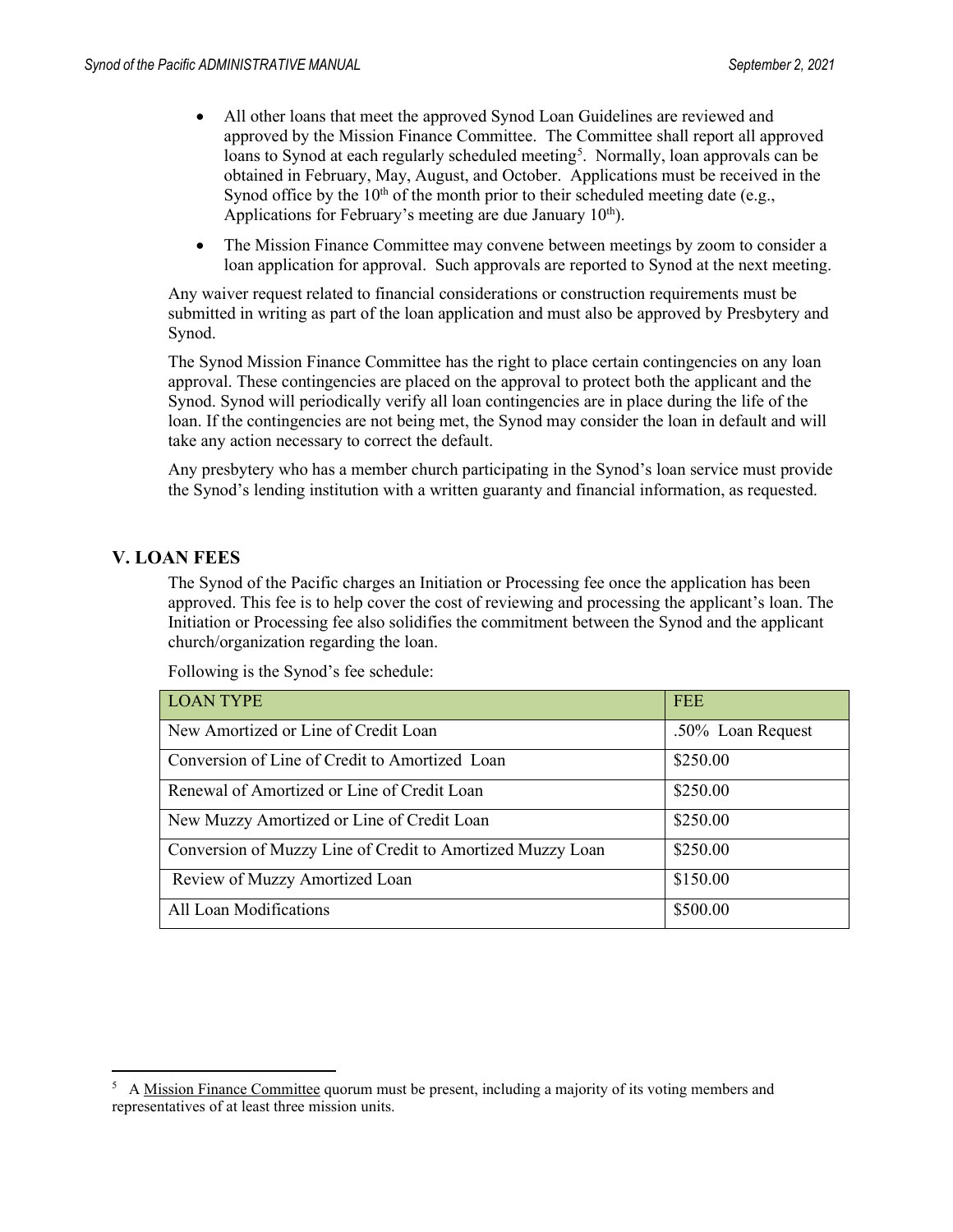- All other loans that meet the approved Synod Loan Guidelines are reviewed and approved by the Mission Finance Committee. The Committee shall report all approved loans to Synod at each regularly scheduled meeting<sup>[5](#page-24-0)</sup>. Normally, loan approvals can be obtained in February, May, August, and October. Applications must be received in the Synod office by the  $10<sup>th</sup>$  of the month prior to their scheduled meeting date (e.g., Applications for February's meeting are due January  $10<sup>th</sup>$ .
- The Mission Finance Committee may convene between meetings by zoom to consider a loan application for approval. Such approvals are reported to Synod at the next meeting.

Any waiver request related to financial considerations or construction requirements must be submitted in writing as part of the loan application and must also be approved by Presbytery and Synod.

The Synod Mission Finance Committee has the right to place certain contingencies on any loan approval. These contingencies are placed on the approval to protect both the applicant and the Synod. Synod will periodically verify all loan contingencies are in place during the life of the loan. If the contingencies are not being met, the Synod may consider the loan in default and will take any action necessary to correct the default.

Any presbytery who has a member church participating in the Synod's loan service must provide the Synod's lending institution with a written guaranty and financial information, as requested.

#### **V. LOAN FEES**

The Synod of the Pacific charges an Initiation or Processing fee once the application has been approved. This fee is to help cover the cost of reviewing and processing the applicant's loan. The Initiation or Processing fee also solidifies the commitment between the Synod and the applicant church/organization regarding the loan.

| <b>LOAN TYPE</b>                                           | <b>FEE</b>        |
|------------------------------------------------------------|-------------------|
| New Amortized or Line of Credit Loan                       | .50% Loan Request |
| Conversion of Line of Credit to Amortized Loan             | \$250.00          |
| Renewal of Amortized or Line of Credit Loan                | \$250.00          |
| New Muzzy Amortized or Line of Credit Loan                 | \$250.00          |
| Conversion of Muzzy Line of Credit to Amortized Muzzy Loan | \$250.00          |
| Review of Muzzy Amortized Loan                             | \$150.00          |
| All Loan Modifications                                     | \$500.00          |

Following is the Synod's fee schedule:

<span id="page-24-0"></span><sup>&</sup>lt;sup>5</sup> A Mission Finance Committee quorum must be present, including a majority of its voting members and representatives of at least three mission units.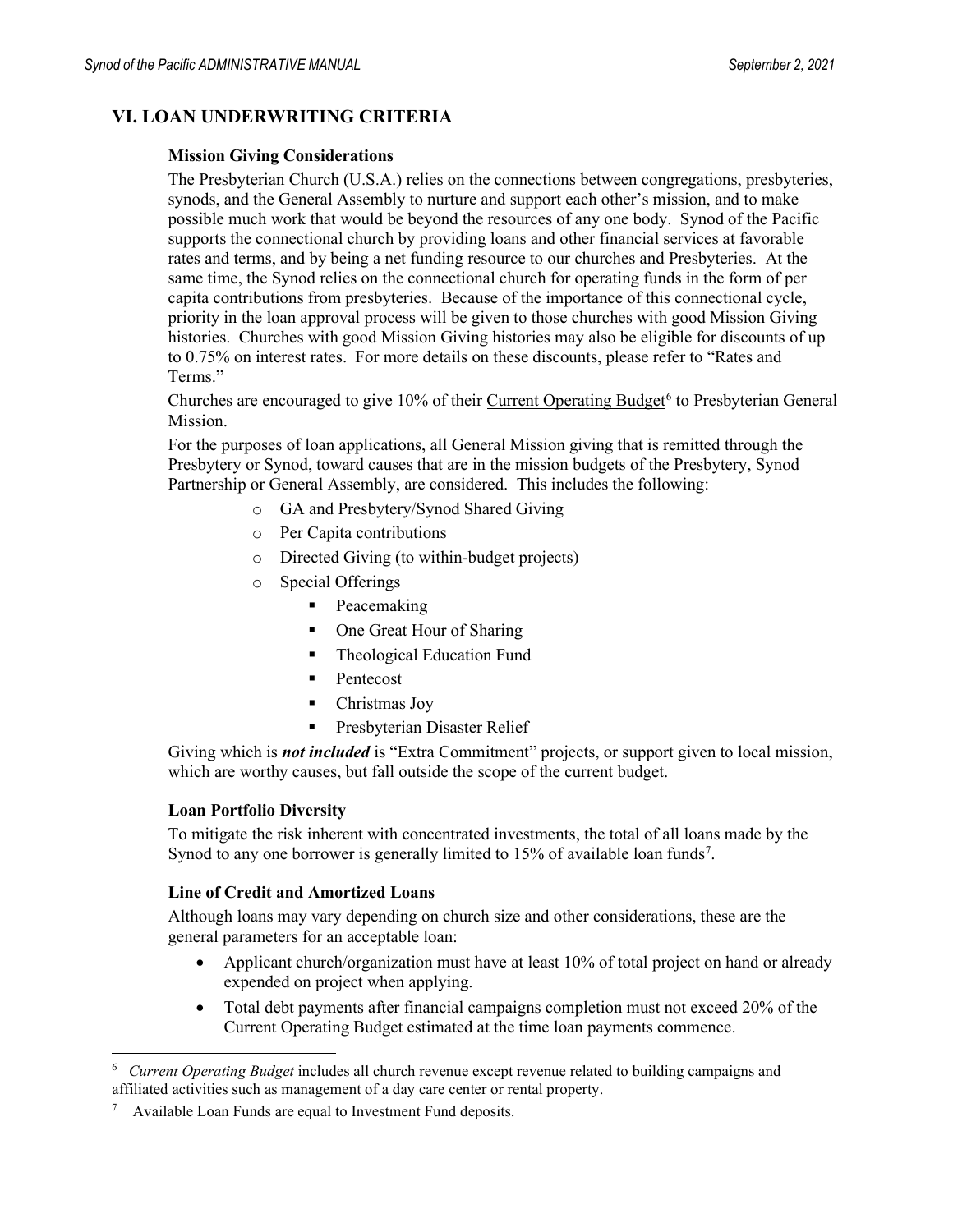#### **VI. LOAN UNDERWRITING CRITERIA**

#### **Mission Giving Considerations**

The Presbyterian Church (U.S.A.) relies on the connections between congregations, presbyteries, synods, and the General Assembly to nurture and support each other's mission, and to make possible much work that would be beyond the resources of any one body. Synod of the Pacific supports the connectional church by providing loans and other financial services at favorable rates and terms, and by being a net funding resource to our churches and Presbyteries. At the same time, the Synod relies on the connectional church for operating funds in the form of per capita contributions from presbyteries. Because of the importance of this connectional cycle, priority in the loan approval process will be given to those churches with good Mission Giving histories. Churches with good Mission Giving histories may also be eligible for discounts of up to 0.75% on interest rates. For more details on these discounts, please refer to "Rates and Terms."

Churches are encouraged to give  $10\%$  of their Current Operating Budget<sup>[6](#page-25-0)</sup> to Presbyterian General Mission.

For the purposes of loan applications, all General Mission giving that is remitted through the Presbytery or Synod, toward causes that are in the mission budgets of the Presbytery, Synod Partnership or General Assembly, are considered. This includes the following:

- o GA and Presbytery/Synod Shared Giving
- o Per Capita contributions
- o Directed Giving (to within-budget projects)
- o Special Offerings
	- Peacemaking
	- One Great Hour of Sharing
	- **Theological Education Fund**
	- Pentecost
	- Christmas Jov
	- **Presbyterian Disaster Relief**

Giving which is *not included* is "Extra Commitment" projects, or support given to local mission, which are worthy causes, but fall outside the scope of the current budget.

#### **Loan Portfolio Diversity**

To mitigate the risk inherent with concentrated investments, the total of all loans made by the Synod to any one borrower is generally limited to  $15\%$  of available loan funds<sup>7</sup>.

#### **Line of Credit and Amortized Loans**

Although loans may vary depending on church size and other considerations, these are the general parameters for an acceptable loan:

- Applicant church/organization must have at least 10% of total project on hand or already expended on project when applying.
- Total debt payments after financial campaigns completion must not exceed 20% of the Current Operating Budget estimated at the time loan payments commence.

<span id="page-25-0"></span><sup>6</sup>  *Current Operating Budget* includes all church revenue except revenue related to building campaigns and affiliated activities such as management of a day care center or rental property.

<span id="page-25-1"></span><sup>7</sup> Available Loan Funds are equal to Investment Fund deposits.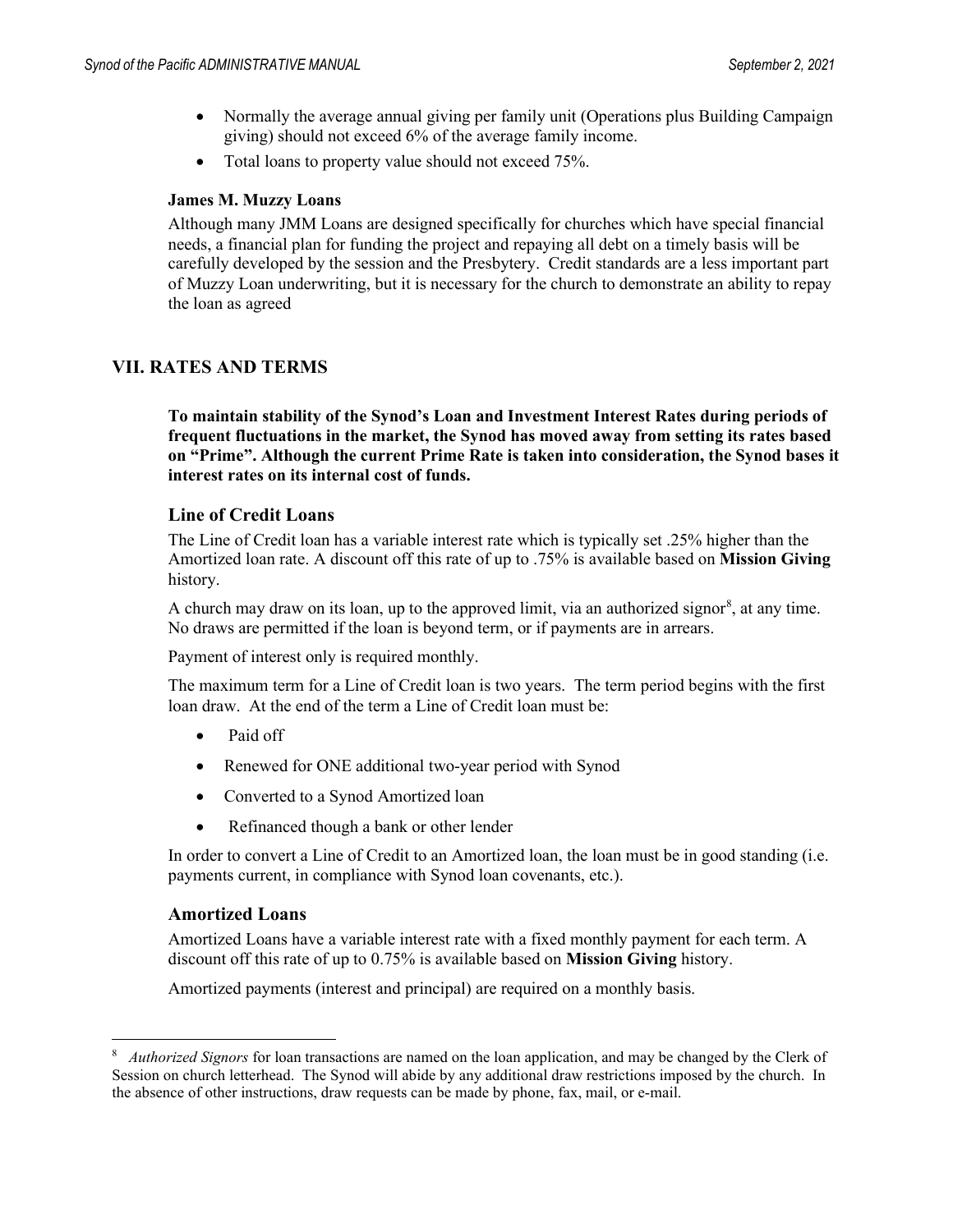- Normally the average annual giving per family unit (Operations plus Building Campaign giving) should not exceed 6% of the average family income.
- Total loans to property value should not exceed 75%.

#### **James M. Muzzy Loans**

Although many JMM Loans are designed specifically for churches which have special financial needs, a financial plan for funding the project and repaying all debt on a timely basis will be carefully developed by the session and the Presbytery. Credit standards are a less important part of Muzzy Loan underwriting, but it is necessary for the church to demonstrate an ability to repay the loan as agreed

#### **VII. RATES AND TERMS**

**To maintain stability of the Synod's Loan and Investment Interest Rates during periods of frequent fluctuations in the market, the Synod has moved away from setting its rates based on "Prime". Although the current Prime Rate is taken into consideration, the Synod bases it interest rates on its internal cost of funds.** 

#### **Line of Credit Loans**

The Line of Credit loan has a variable interest rate which is typically set .25% higher than the Amortized loan rate. A discount off this rate of up to .75% is available based on **Mission Giving**  history.

A church may draw on its loan, up to the approved limit, via an authorized signor<sup>[8](#page-26-0)</sup>, at any time. No draws are permitted if the loan is beyond term, or if payments are in arrears.

Payment of interest only is required monthly.

The maximum term for a Line of Credit loan is two years. The term period begins with the first loan draw. At the end of the term a Line of Credit loan must be:

- Paid off
- Renewed for ONE additional two-year period with Synod
- Converted to a Synod Amortized loan
- Refinanced though a bank or other lender

In order to convert a Line of Credit to an Amortized loan, the loan must be in good standing (i.e. payments current, in compliance with Synod loan covenants, etc.).

#### **Amortized Loans**

Amortized Loans have a variable interest rate with a fixed monthly payment for each term. A discount off this rate of up to 0.75% is available based on **Mission Giving** history.

Amortized payments (interest and principal) are required on a monthly basis.

<span id="page-26-0"></span><sup>8</sup>  *Authorized Signors* for loan transactions are named on the loan application, and may be changed by the Clerk of Session on church letterhead. The Synod will abide by any additional draw restrictions imposed by the church. In the absence of other instructions, draw requests can be made by phone, fax, mail, or e-mail.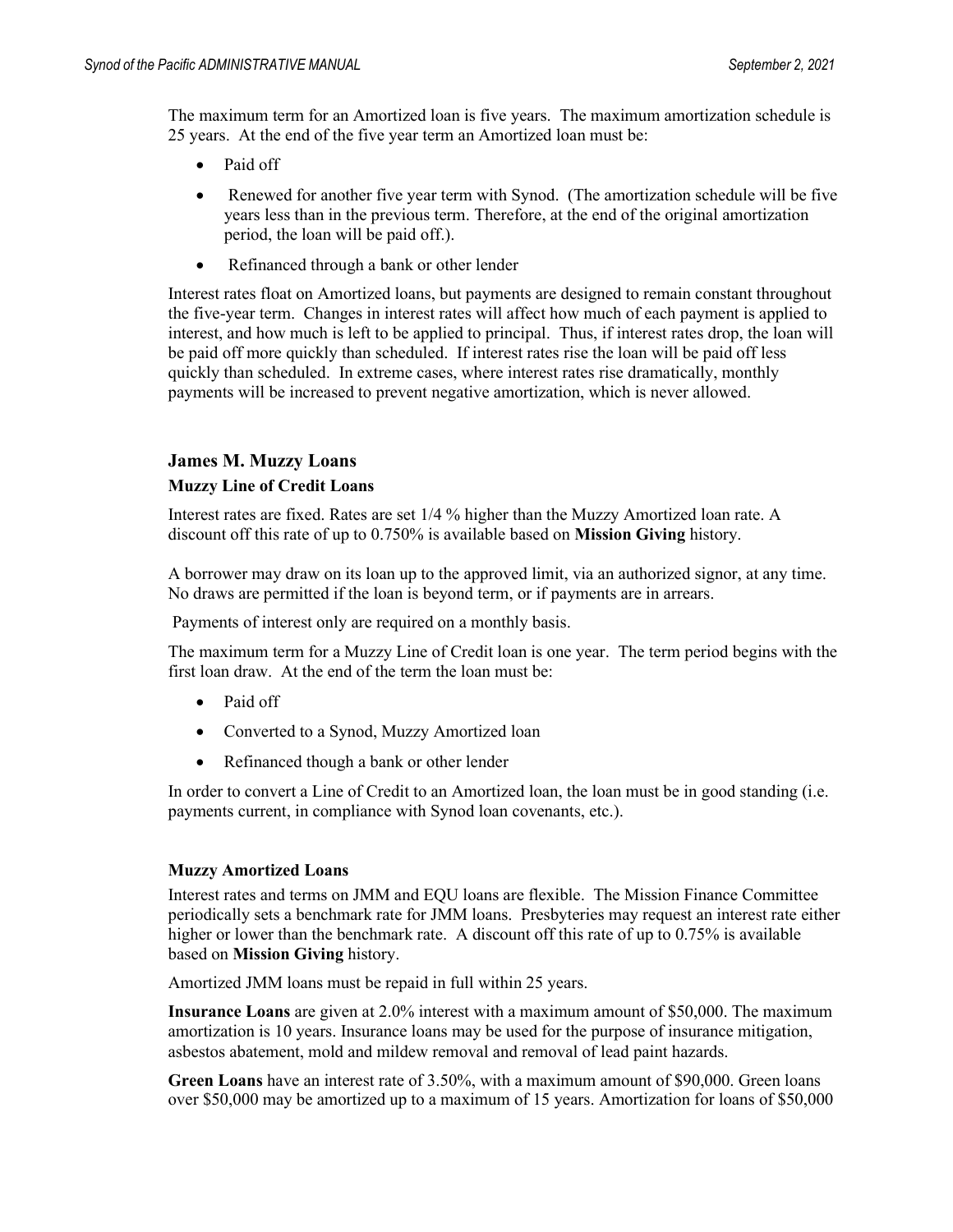The maximum term for an Amortized loan is five years. The maximum amortization schedule is 25 years. At the end of the five year term an Amortized loan must be:

- Paid off
- Renewed for another five year term with Synod. (The amortization schedule will be five years less than in the previous term. Therefore, at the end of the original amortization period, the loan will be paid off.).
- Refinanced through a bank or other lender

Interest rates float on Amortized loans, but payments are designed to remain constant throughout the five-year term. Changes in interest rates will affect how much of each payment is applied to interest, and how much is left to be applied to principal. Thus, if interest rates drop, the loan will be paid off more quickly than scheduled. If interest rates rise the loan will be paid off less quickly than scheduled. In extreme cases, where interest rates rise dramatically, monthly payments will be increased to prevent negative amortization, which is never allowed.

#### **James M. Muzzy Loans**

#### **Muzzy Line of Credit Loans**

Interest rates are fixed. Rates are set 1/4 % higher than the Muzzy Amortized loan rate. A discount off this rate of up to 0.750% is available based on **Mission Giving** history.

A borrower may draw on its loan up to the approved limit, via an authorized signor, at any time. No draws are permitted if the loan is beyond term, or if payments are in arrears.

Payments of interest only are required on a monthly basis.

The maximum term for a Muzzy Line of Credit loan is one year. The term period begins with the first loan draw. At the end of the term the loan must be:

- Paid off
- Converted to a Synod, Muzzy Amortized loan
- Refinanced though a bank or other lender

In order to convert a Line of Credit to an Amortized loan, the loan must be in good standing (i.e. payments current, in compliance with Synod loan covenants, etc.).

#### **Muzzy Amortized Loans**

Interest rates and terms on JMM and EQU loans are flexible. The Mission Finance Committee periodically sets a benchmark rate for JMM loans. Presbyteries may request an interest rate either higher or lower than the benchmark rate. A discount off this rate of up to 0.75% is available based on **Mission Giving** history.

Amortized JMM loans must be repaid in full within 25 years.

**Insurance Loans** are given at 2.0% interest with a maximum amount of \$50,000. The maximum amortization is 10 years. Insurance loans may be used for the purpose of insurance mitigation, asbestos abatement, mold and mildew removal and removal of lead paint hazards.

**Green Loans** have an interest rate of 3.50%, with a maximum amount of \$90,000. Green loans over \$50,000 may be amortized up to a maximum of 15 years. Amortization for loans of \$50,000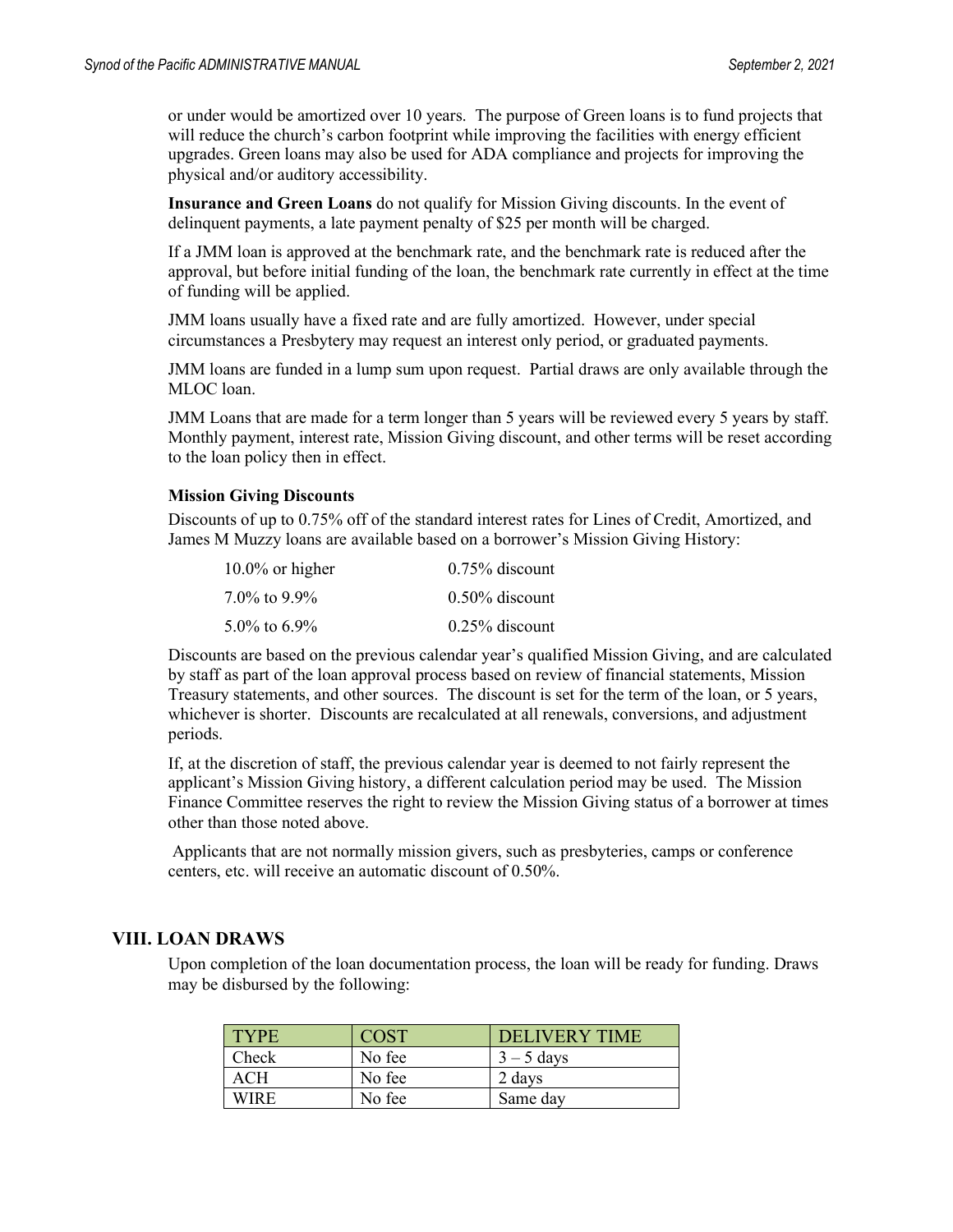or under would be amortized over 10 years. The purpose of Green loans is to fund projects that will reduce the church's carbon footprint while improving the facilities with energy efficient upgrades. Green loans may also be used for ADA compliance and projects for improving the physical and/or auditory accessibility.

**Insurance and Green Loans** do not qualify for Mission Giving discounts. In the event of delinquent payments, a late payment penalty of \$25 per month will be charged.

If a JMM loan is approved at the benchmark rate, and the benchmark rate is reduced after the approval, but before initial funding of the loan, the benchmark rate currently in effect at the time of funding will be applied.

JMM loans usually have a fixed rate and are fully amortized. However, under special circumstances a Presbytery may request an interest only period, or graduated payments.

JMM loans are funded in a lump sum upon request. Partial draws are only available through the MLOC loan.

JMM Loans that are made for a term longer than 5 years will be reviewed every 5 years by staff. Monthly payment, interest rate, Mission Giving discount, and other terms will be reset according to the loan policy then in effect.

#### **Mission Giving Discounts**

Discounts of up to 0.75% off of the standard interest rates for Lines of Credit, Amortized, and James M Muzzy loans are available based on a borrower's Mission Giving History:

| $10.0\%$ or higher | $0.75\%$ discount |
|--------------------|-------------------|
| $7.0\%$ to 9.9%    | $0.50\%$ discount |
| $5.0\%$ to 6.9%    | $0.25\%$ discount |

Discounts are based on the previous calendar year's qualified Mission Giving, and are calculated by staff as part of the loan approval process based on review of financial statements, Mission Treasury statements, and other sources. The discount is set for the term of the loan, or 5 years, whichever is shorter. Discounts are recalculated at all renewals, conversions, and adjustment periods.

If, at the discretion of staff, the previous calendar year is deemed to not fairly represent the applicant's Mission Giving history, a different calculation period may be used. The Mission Finance Committee reserves the right to review the Mission Giving status of a borrower at times other than those noted above.

Applicants that are not normally mission givers, such as presbyteries, camps or conference centers, etc. will receive an automatic discount of 0.50%.

#### **VIII. LOAN DRAWS**

Upon completion of the loan documentation process, the loan will be ready for funding. Draws may be disbursed by the following:

| <b>TYPE</b> | <b>COST</b> | DELIVERY TIME |
|-------------|-------------|---------------|
| Check       | No fee      | $3 - 5$ days  |
| ACH         | No fee      | 2 days        |
| WIRF        | No fee      | Same day      |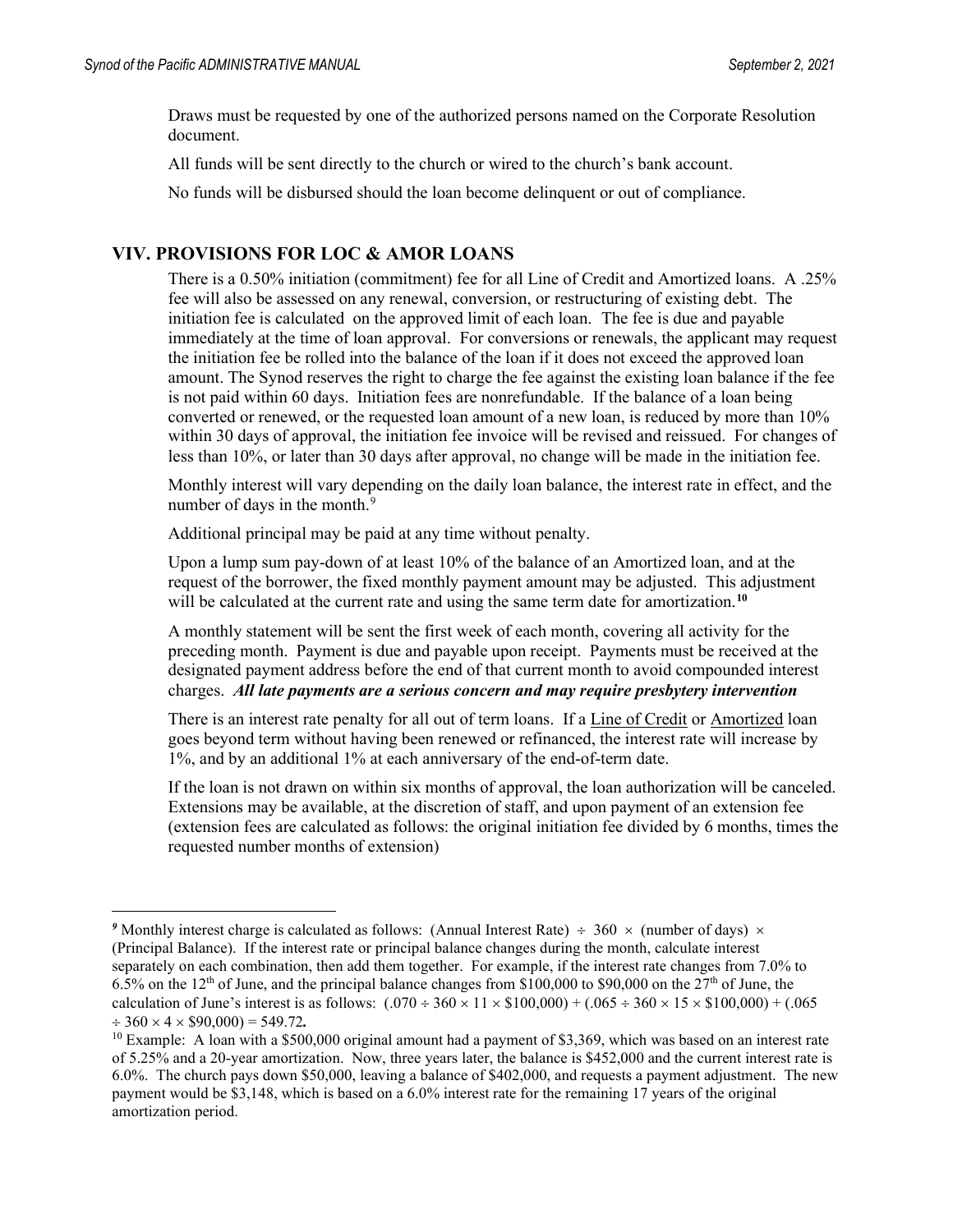Draws must be requested by one of the authorized persons named on the Corporate Resolution document.

All funds will be sent directly to the church or wired to the church's bank account.

No funds will be disbursed should the loan become delinquent or out of compliance.

#### **VIV. PROVISIONS FOR LOC & AMOR LOANS**

There is a 0.50% initiation (commitment) fee for all Line of Credit and Amortized loans. A .25% fee will also be assessed on any renewal, conversion, or restructuring of existing debt. The initiation fee is calculated on the approved limit of each loan. The fee is due and payable immediately at the time of loan approval. For conversions or renewals, the applicant may request the initiation fee be rolled into the balance of the loan if it does not exceed the approved loan amount. The Synod reserves the right to charge the fee against the existing loan balance if the fee is not paid within 60 days. Initiation fees are nonrefundable. If the balance of a loan being converted or renewed, or the requested loan amount of a new loan, is reduced by more than 10% within 30 days of approval, the initiation fee invoice will be revised and reissued. For changes of less than 10%, or later than 30 days after approval, no change will be made in the initiation fee.

Monthly interest will vary depending on the daily loan balance, the interest rate in effect, and the number of days in the month.<sup>[9](#page-29-0)</sup>

Additional principal may be paid at any time without penalty.

Upon a lump sum pay-down of at least 10% of the balance of an Amortized loan, and at the request of the borrower, the fixed monthly payment amount may be adjusted. This adjustment will be calculated at the current rate and using the same term date for amortization.<sup>[10](#page-29-1)</sup>

A monthly statement will be sent the first week of each month, covering all activity for the preceding month. Payment is due and payable upon receipt. Payments must be received at the designated payment address before the end of that current month to avoid compounded interest charges. *All late payments are a serious concern and may require presbytery intervention*

There is an interest rate penalty for all out of term loans. If a Line of Credit or Amortized loan goes beyond term without having been renewed or refinanced, the interest rate will increase by 1%, and by an additional 1% at each anniversary of the end-of-term date.

If the loan is not drawn on within six months of approval, the loan authorization will be canceled. Extensions may be available, at the discretion of staff, and upon payment of an extension fee (extension fees are calculated as follows: the original initiation fee divided by 6 months, times the requested number months of extension)

<span id="page-29-0"></span><sup>&</sup>lt;sup>9</sup> Monthly interest charge is calculated as follows: (Annual Interest Rate)  $\div$  360  $\times$  (number of days)  $\times$ (Principal Balance). If the interest rate or principal balance changes during the month, calculate interest separately on each combination, then add them together. For example, if the interest rate changes from 7.0% to 6.5% on the 12th of June, and the principal balance changes from \$100,000 to \$90,000 on the 27th of June, the calculation of June's interest is as follows:  $(.070 \div 360 \times 11 \times $100,000) + (.065 \div 360 \times 15 \times $100,000) + (.065$  $\div$  360  $\times$  4  $\times$  \$90,000) = 549,72

<span id="page-29-1"></span><sup>&</sup>lt;sup>10</sup> Example: A loan with a \$500,000 original amount had a payment of \$3,369, which was based on an interest rate of 5.25% and a 20-year amortization. Now, three years later, the balance is \$452,000 and the current interest rate is 6.0%. The church pays down \$50,000, leaving a balance of \$402,000, and requests a payment adjustment. The new payment would be \$3,148, which is based on a 6.0% interest rate for the remaining 17 years of the original amortization period.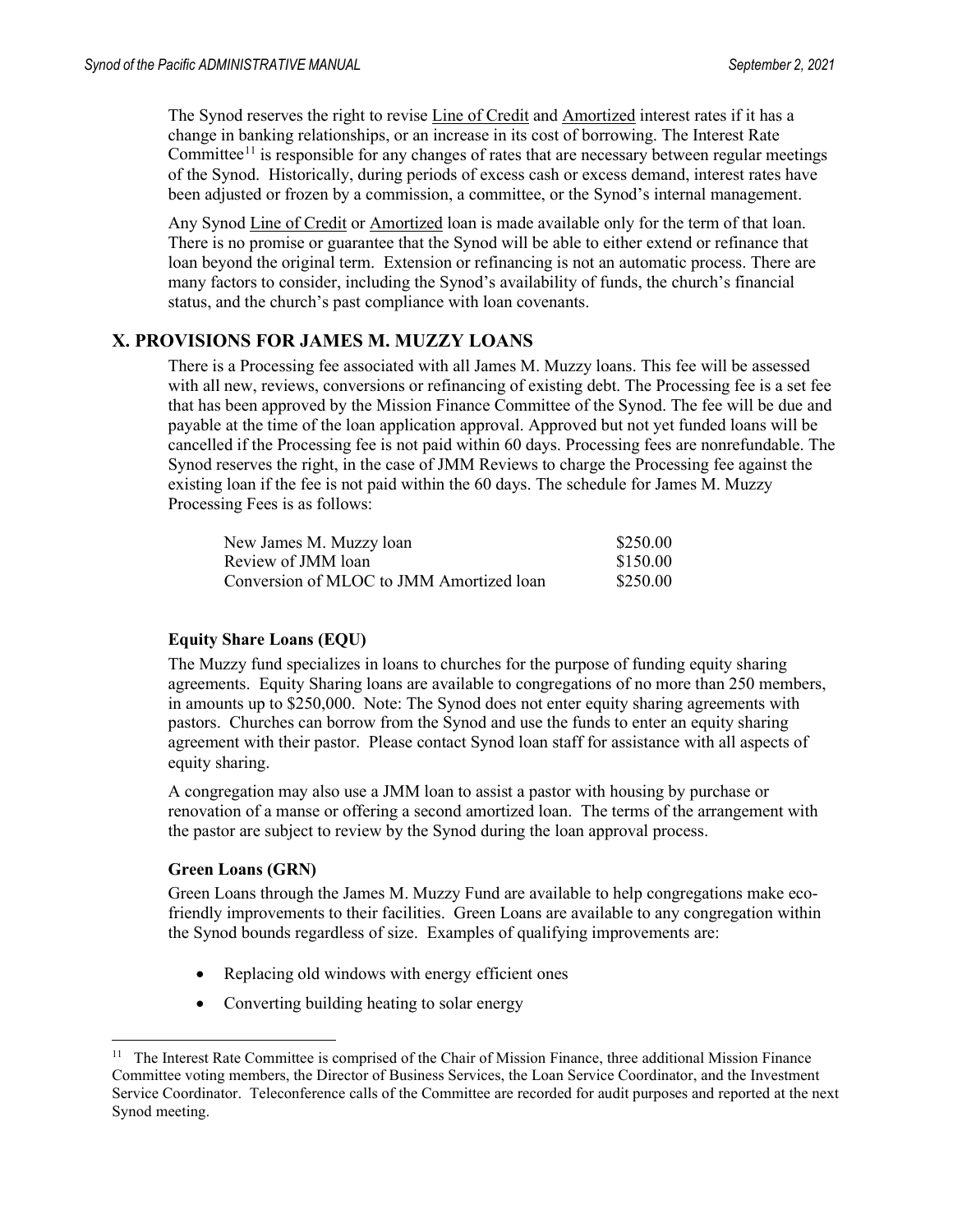The Synod reserves the right to revise Line of Credit and Amortized interest rates if it has a change in banking relationships, or an increase in its cost of borrowing. The Interest Rate Committee<sup>[11](#page-30-0)</sup> is responsible for any changes of rates that are necessary between regular meetings of the Synod. Historically, during periods of excess cash or excess demand, interest rates have been adjusted or frozen by a commission, a committee, or the Synod's internal management.

Any Synod Line of Credit or Amortized loan is made available only for the term of that loan. There is no promise or guarantee that the Synod will be able to either extend or refinance that loan beyond the original term. Extension or refinancing is not an automatic process. There are many factors to consider, including the Synod's availability of funds, the church's financial status, and the church's past compliance with loan covenants.

#### **X. PROVISIONS FOR JAMES M. MUZZY LOANS**

There is a Processing fee associated with all James M. Muzzy loans. This fee will be assessed with all new, reviews, conversions or refinancing of existing debt. The Processing fee is a set fee that has been approved by the Mission Finance Committee of the Synod. The fee will be due and payable at the time of the loan application approval. Approved but not yet funded loans will be cancelled if the Processing fee is not paid within 60 days. Processing fees are nonrefundable. The Synod reserves the right, in the case of JMM Reviews to charge the Processing fee against the existing loan if the fee is not paid within the 60 days. The schedule for James M. Muzzy Processing Fees is as follows:

| New James M. Muzzy loan                  | \$250.00 |
|------------------------------------------|----------|
| Review of JMM loan                       | \$150.00 |
| Conversion of MLOC to JMM Amortized loan | \$250.00 |

#### **Equity Share Loans (EQU)**

The Muzzy fund specializes in loans to churches for the purpose of funding equity sharing agreements. Equity Sharing loans are available to congregations of no more than 250 members, in amounts up to \$250,000.Note: The Synod does not enter equity sharing agreements with pastors. Churches can borrow from the Synod and use the funds to enter an equity sharing agreement with their pastor. Please contact Synod loan staff for assistance with all aspects of equity sharing.

A congregation may also use a JMM loan to assist a pastor with housing by purchase or renovation of a manse or offering a second amortized loan. The terms of the arrangement with the pastor are subject to review by the Synod during the loan approval process.

#### **Green Loans (GRN)**

Green Loans through the James M. Muzzy Fund are available to help congregations make ecofriendly improvements to their facilities. Green Loans are available to any congregation within the Synod bounds regardless of size. Examples of qualifying improvements are:

- Replacing old windows with energy efficient ones
- Converting building heating to solar energy

<span id="page-30-0"></span> $11$  The Interest Rate Committee is comprised of the Chair of Mission Finance, three additional Mission Finance Committee voting members, the Director of Business Services, the Loan Service Coordinator, and the Investment Service Coordinator. Teleconference calls of the Committee are recorded for audit purposes and reported at the next Synod meeting.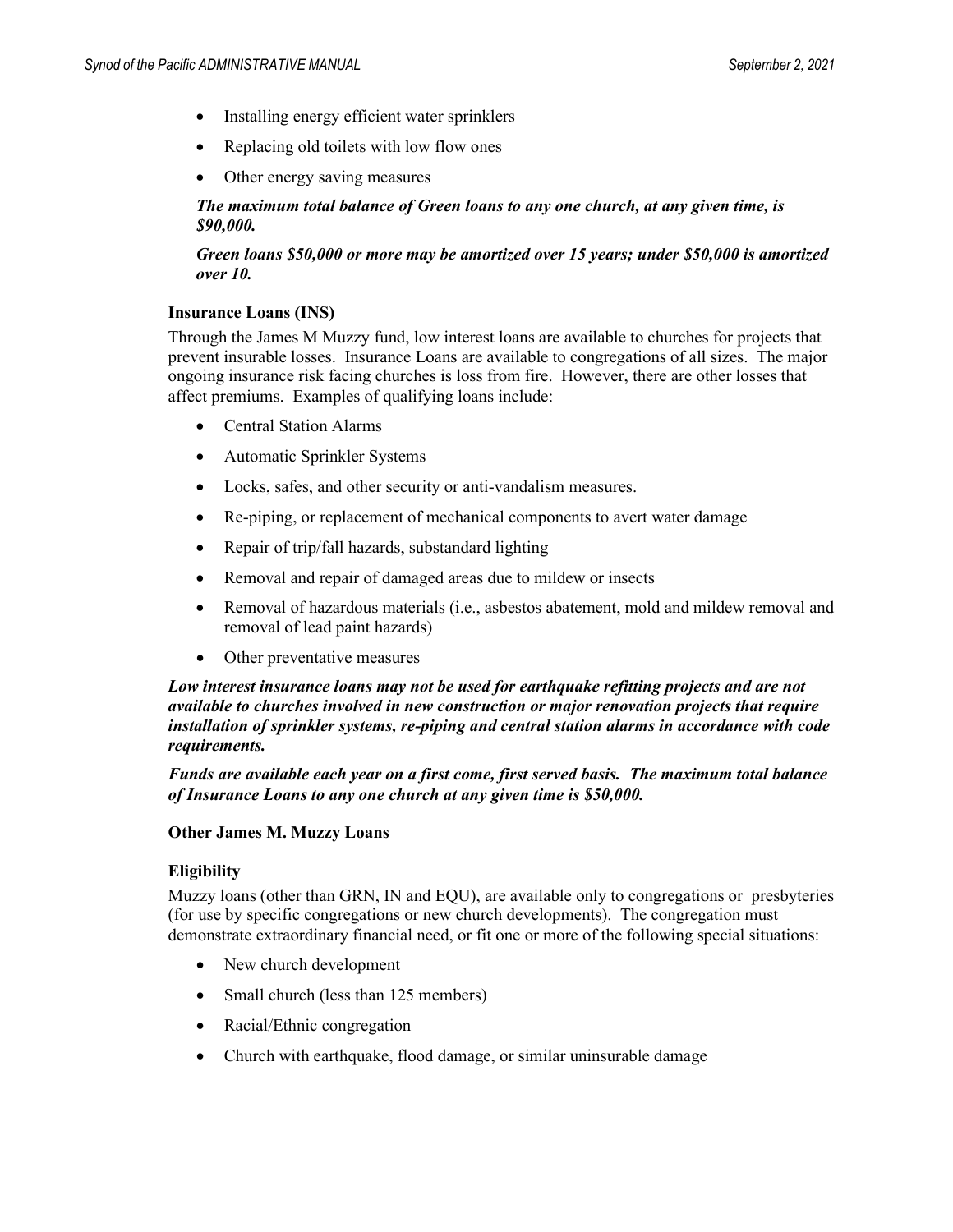- Installing energy efficient water sprinklers
- Replacing old toilets with low flow ones
- Other energy saving measures

#### *The maximum total balance of Green loans to any one church, at any given time, is \$90,000.*

#### *Green loans \$50,000 or more may be amortized over 15 years; under \$50,000 is amortized over 10.*

#### **Insurance Loans (INS)**

Through the James M Muzzy fund, low interest loans are available to churches for projects that prevent insurable losses. Insurance Loans are available to congregations of all sizes. The major ongoing insurance risk facing churches is loss from fire. However, there are other losses that affect premiums. Examples of qualifying loans include:

- Central Station Alarms
- Automatic Sprinkler Systems
- Locks, safes, and other security or anti-vandalism measures.
- Re-piping, or replacement of mechanical components to avert water damage
- Repair of trip/fall hazards, substandard lighting
- Removal and repair of damaged areas due to mildew or insects
- Removal of hazardous materials (i.e., asbestos abatement, mold and mildew removal and removal of lead paint hazards)
- Other preventative measures

*Low interest insurance loans may not be used for earthquake refitting projects and are not available to churches involved in new construction or major renovation projects that require installation of sprinkler systems, re-piping and central station alarms in accordance with code requirements.*

*Funds are available each year on a first come, first served basis. The maximum total balance of Insurance Loans to any one church at any given time is \$50,000.*

#### **Other James M. Muzzy Loans**

#### **Eligibility**

Muzzy loans (other than GRN, IN and EQU), are available only to congregations or presbyteries (for use by specific congregations or new church developments). The congregation must demonstrate extraordinary financial need, or fit one or more of the following special situations:

- New church development
- Small church (less than 125 members)
- Racial/Ethnic congregation
- Church with earthquake, flood damage, or similar uninsurable damage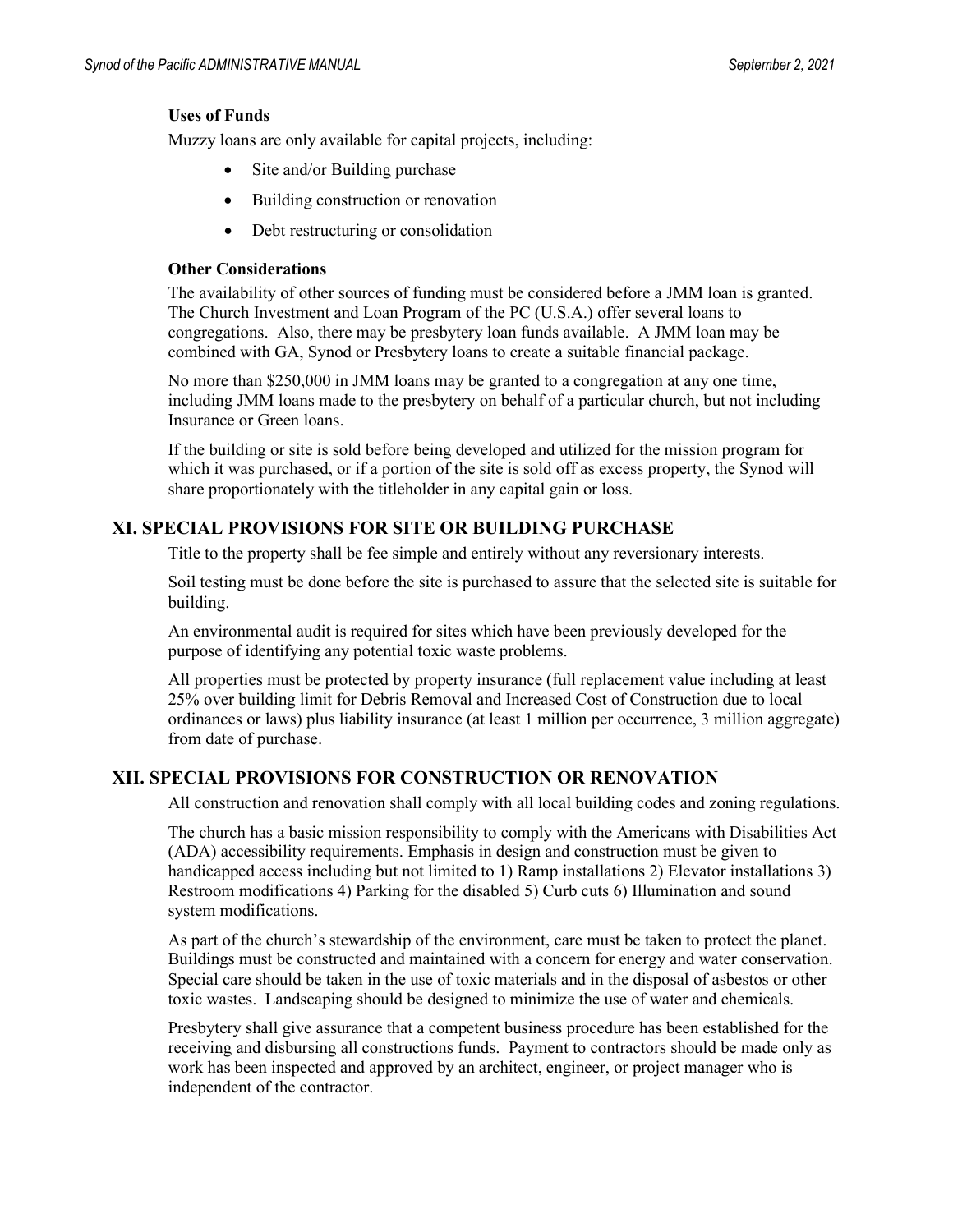#### **Uses of Funds**

Muzzy loans are only available for capital projects, including:

- Site and/or Building purchase
- Building construction or renovation
- Debt restructuring or consolidation

#### **Other Considerations**

The availability of other sources of funding must be considered before a JMM loan is granted. The Church Investment and Loan Program of the PC (U.S.A.) offer several loans to congregations. Also, there may be presbytery loan funds available. A JMM loan may be combined with GA, Synod or Presbytery loans to create a suitable financial package.

No more than \$250,000 in JMM loans may be granted to a congregation at any one time, including JMM loans made to the presbytery on behalf of a particular church, but not including Insurance or Green loans.

If the building or site is sold before being developed and utilized for the mission program for which it was purchased, or if a portion of the site is sold off as excess property, the Synod will share proportionately with the titleholder in any capital gain or loss.

#### **XI. SPECIAL PROVISIONS FOR SITE OR BUILDING PURCHASE**

Title to the property shall be fee simple and entirely without any reversionary interests.

Soil testing must be done before the site is purchased to assure that the selected site is suitable for building.

An environmental audit is required for sites which have been previously developed for the purpose of identifying any potential toxic waste problems.

All properties must be protected by property insurance (full replacement value including at least 25% over building limit for Debris Removal and Increased Cost of Construction due to local ordinances or laws) plus liability insurance (at least 1 million per occurrence, 3 million aggregate) from date of purchase.

#### **XII. SPECIAL PROVISIONS FOR CONSTRUCTION OR RENOVATION**

All construction and renovation shall comply with all local building codes and zoning regulations.

The church has a basic mission responsibility to comply with the Americans with Disabilities Act (ADA) accessibility requirements. Emphasis in design and construction must be given to handicapped access including but not limited to 1) Ramp installations 2) Elevator installations 3) Restroom modifications 4) Parking for the disabled 5) Curb cuts 6) Illumination and sound system modifications.

As part of the church's stewardship of the environment, care must be taken to protect the planet. Buildings must be constructed and maintained with a concern for energy and water conservation. Special care should be taken in the use of toxic materials and in the disposal of asbestos or other toxic wastes. Landscaping should be designed to minimize the use of water and chemicals.

Presbytery shall give assurance that a competent business procedure has been established for the receiving and disbursing all constructions funds. Payment to contractors should be made only as work has been inspected and approved by an architect, engineer, or project manager who is independent of the contractor.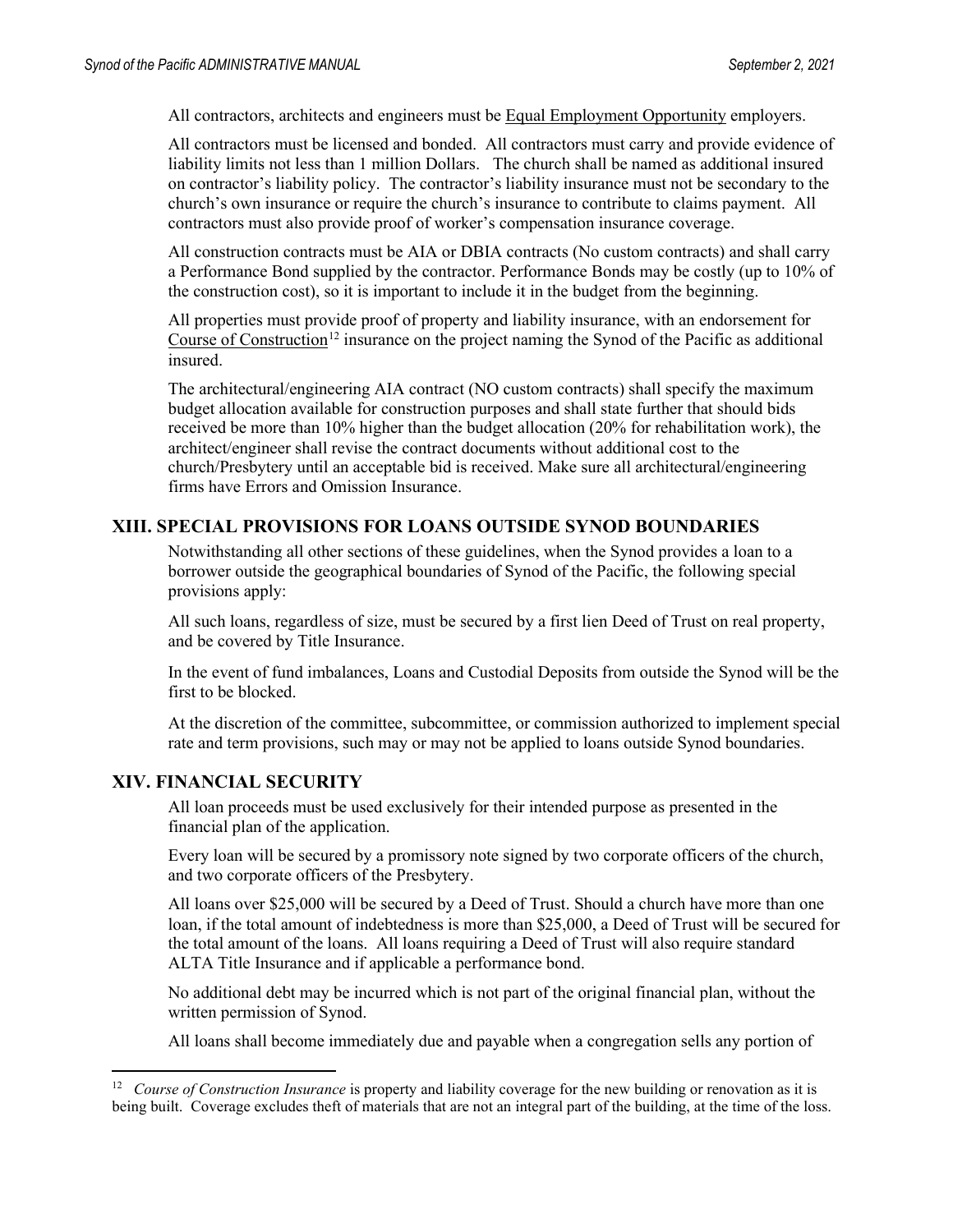All contractors, architects and engineers must be Equal Employment Opportunity employers.

All contractors must be licensed and bonded. All contractors must carry and provide evidence of liability limits not less than 1 million Dollars. The church shall be named as additional insured on contractor's liability policy. The contractor's liability insurance must not be secondary to the church's own insurance or require the church's insurance to contribute to claims payment. All contractors must also provide proof of worker's compensation insurance coverage.

All construction contracts must be AIA or DBIA contracts (No custom contracts) and shall carry a Performance Bond supplied by the contractor. Performance Bonds may be costly (up to 10% of the construction cost), so it is important to include it in the budget from the beginning.

All properties must provide proof of property and liability insurance, with an endorsement for Course of Construction<sup>[12](#page-33-0)</sup> insurance on the project naming the Synod of the Pacific as additional insured.

The architectural/engineering AIA contract (NO custom contracts) shall specify the maximum budget allocation available for construction purposes and shall state further that should bids received be more than 10% higher than the budget allocation (20% for rehabilitation work), the architect/engineer shall revise the contract documents without additional cost to the church/Presbytery until an acceptable bid is received. Make sure all architectural/engineering firms have Errors and Omission Insurance.

#### **XIII. SPECIAL PROVISIONS FOR LOANS OUTSIDE SYNOD BOUNDARIES**

Notwithstanding all other sections of these guidelines, when the Synod provides a loan to a borrower outside the geographical boundaries of Synod of the Pacific, the following special provisions apply:

All such loans, regardless of size, must be secured by a first lien Deed of Trust on real property, and be covered by Title Insurance.

In the event of fund imbalances, Loans and Custodial Deposits from outside the Synod will be the first to be blocked.

At the discretion of the committee, subcommittee, or commission authorized to implement special rate and term provisions, such may or may not be applied to loans outside Synod boundaries.

#### **XIV. FINANCIAL SECURITY**

All loan proceeds must be used exclusively for their intended purpose as presented in the financial plan of the application.

Every loan will be secured by a promissory note signed by two corporate officers of the church, and two corporate officers of the Presbytery.

All loans over \$25,000 will be secured by a Deed of Trust. Should a church have more than one loan, if the total amount of indebtedness is more than \$25,000, a Deed of Trust will be secured for the total amount of the loans. All loans requiring a Deed of Trust will also require standard ALTA Title Insurance and if applicable a performance bond.

No additional debt may be incurred which is not part of the original financial plan, without the written permission of Synod.

All loans shall become immediately due and payable when a congregation sells any portion of

<span id="page-33-0"></span><sup>&</sup>lt;sup>12</sup> Course of Construction Insurance is property and liability coverage for the new building or renovation as it is being built. Coverage excludes theft of materials that are not an integral part of the building, at the time of the loss.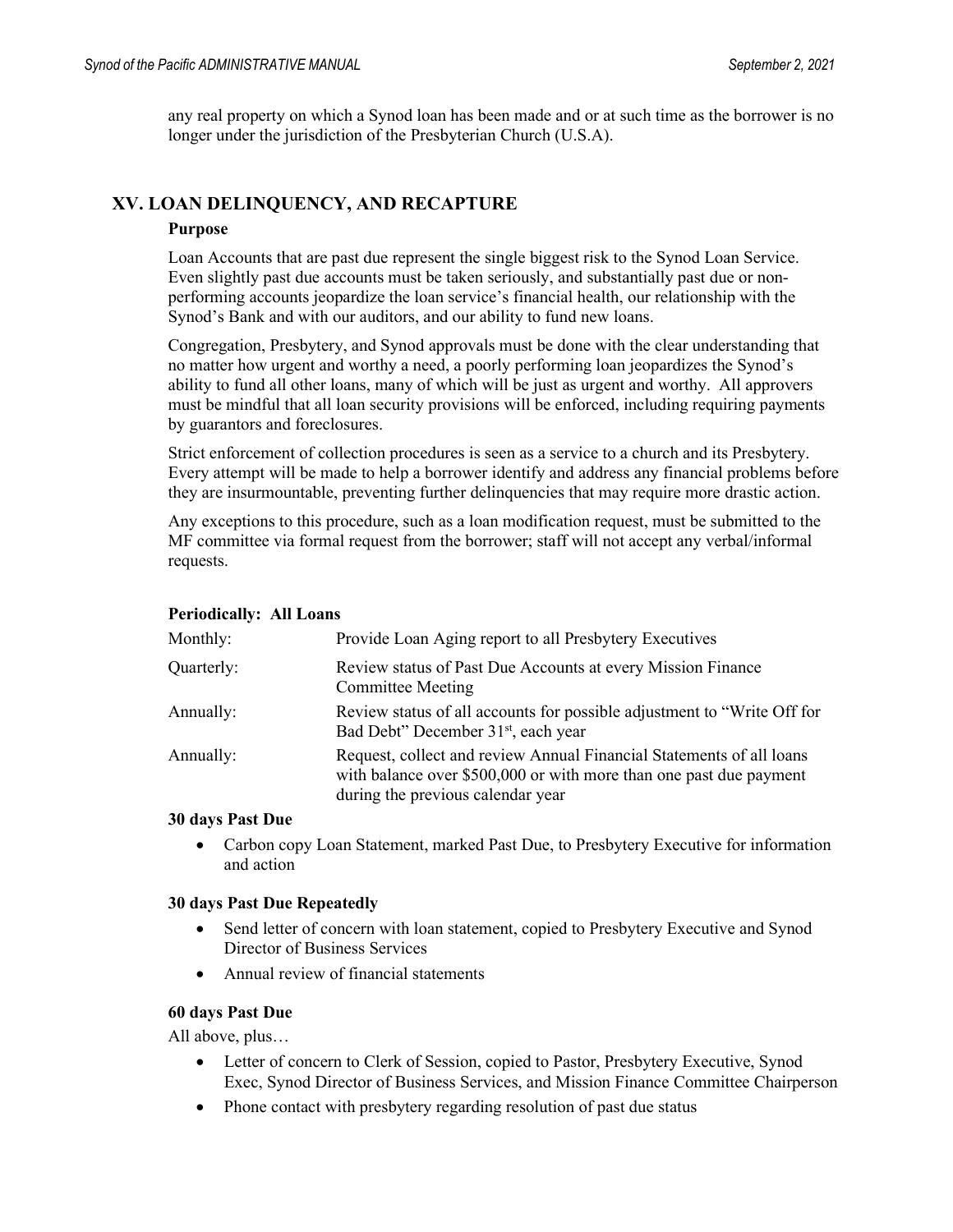any real property on which a Synod loan has been made and or at such time as the borrower is no longer under the jurisdiction of the Presbyterian Church (U.S.A).

#### **XV. LOAN DELINQUENCY, AND RECAPTURE**

#### **Purpose**

Loan Accounts that are past due represent the single biggest risk to the Synod Loan Service. Even slightly past due accounts must be taken seriously, and substantially past due or nonperforming accounts jeopardize the loan service's financial health, our relationship with the Synod's Bank and with our auditors, and our ability to fund new loans.

Congregation, Presbytery, and Synod approvals must be done with the clear understanding that no matter how urgent and worthy a need, a poorly performing loan jeopardizes the Synod's ability to fund all other loans, many of which will be just as urgent and worthy. All approvers must be mindful that all loan security provisions will be enforced, including requiring payments by guarantors and foreclosures.

Strict enforcement of collection procedures is seen as a service to a church and its Presbytery. Every attempt will be made to help a borrower identify and address any financial problems before they are insurmountable, preventing further delinquencies that may require more drastic action.

Any exceptions to this procedure, such as a loan modification request, must be submitted to the MF committee via formal request from the borrower; staff will not accept any verbal/informal requests.

#### **Periodically: All Loans**

| Monthly:   | Provide Loan Aging report to all Presbytery Executives                                                                                                                          |
|------------|---------------------------------------------------------------------------------------------------------------------------------------------------------------------------------|
| Quarterly: | Review status of Past Due Accounts at every Mission Finance<br><b>Committee Meeting</b>                                                                                         |
| Annually:  | Review status of all accounts for possible adjustment to "Write Off for<br>Bad Debt" December 31 <sup>st</sup> , each year                                                      |
| Annually:  | Request, collect and review Annual Financial Statements of all loans<br>with balance over \$500,000 or with more than one past due payment<br>during the previous calendar year |

#### **30 days Past Due**

• Carbon copy Loan Statement, marked Past Due, to Presbytery Executive for information and action

#### **30 days Past Due Repeatedly**

- Send letter of concern with loan statement, copied to Presbytery Executive and Synod Director of Business Services
- Annual review of financial statements

#### **60 days Past Due**

All above, plus…

- Letter of concern to Clerk of Session, copied to Pastor, Presbytery Executive, Synod Exec, Synod Director of Business Services, and Mission Finance Committee Chairperson
- Phone contact with presbytery regarding resolution of past due status